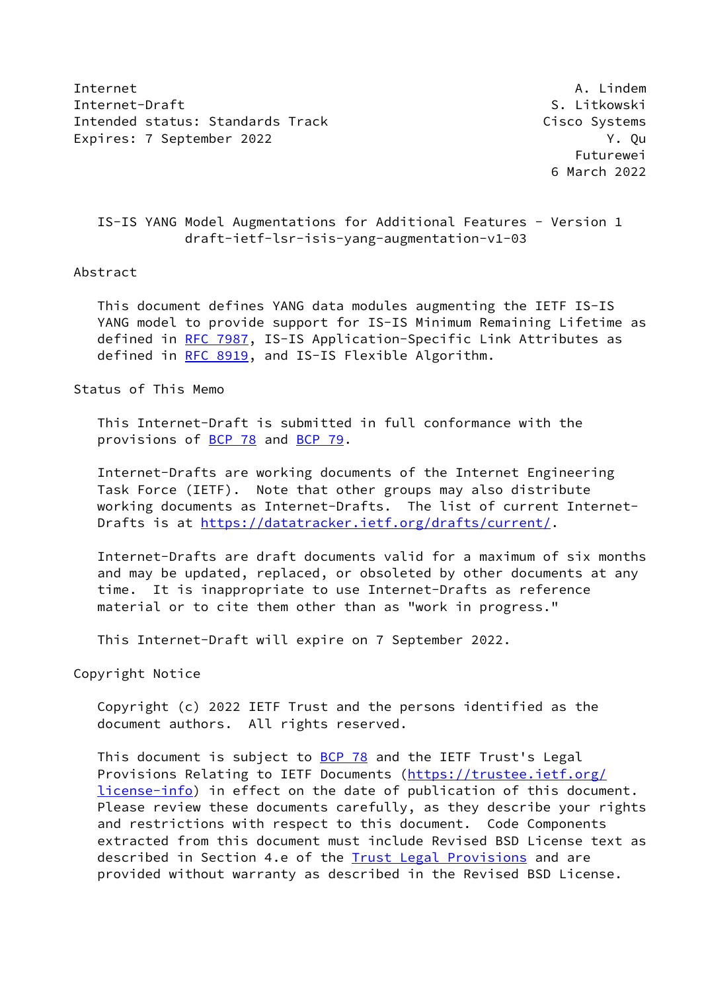Internet A. Lindem A. Lindem A. Lindem A. Lindem A. Lindem A. Lindem A. Lindem A. Lindem A. Lindem A. Lindem A. Lindem A. Lindem A. Lindem A. Lindem A. Lindem A. Lindem A. Lindem A. Lindem A. Lindem A. Lindem A. Lindem A. Internet-Draft Services of the Services of the Services of S. Litkowski Intended status: Standards Track Cisco Systems Expires: 7 September 2022 **Y. Quarter and Strutter Australian** Products of the V. Qu

 Futurewei 6 March 2022

 IS-IS YANG Model Augmentations for Additional Features - Version 1 draft-ietf-lsr-isis-yang-augmentation-v1-03

## Abstract

 This document defines YANG data modules augmenting the IETF IS-IS YANG model to provide support for IS-IS Minimum Remaining Lifetime as defined in [RFC 7987,](https://datatracker.ietf.org/doc/pdf/rfc7987) IS-IS Application-Specific Link Attributes as defined in [RFC 8919,](https://datatracker.ietf.org/doc/pdf/rfc8919) and IS-IS Flexible Algorithm.

Status of This Memo

 This Internet-Draft is submitted in full conformance with the provisions of [BCP 78](https://datatracker.ietf.org/doc/pdf/bcp78) and [BCP 79](https://datatracker.ietf.org/doc/pdf/bcp79).

 Internet-Drafts are working documents of the Internet Engineering Task Force (IETF). Note that other groups may also distribute working documents as Internet-Drafts. The list of current Internet- Drafts is at<https://datatracker.ietf.org/drafts/current/>.

 Internet-Drafts are draft documents valid for a maximum of six months and may be updated, replaced, or obsoleted by other documents at any time. It is inappropriate to use Internet-Drafts as reference material or to cite them other than as "work in progress."

This Internet-Draft will expire on 7 September 2022.

Copyright Notice

 Copyright (c) 2022 IETF Trust and the persons identified as the document authors. All rights reserved.

This document is subject to [BCP 78](https://datatracker.ietf.org/doc/pdf/bcp78) and the IETF Trust's Legal Provisions Relating to IETF Documents ([https://trustee.ietf.org/](https://trustee.ietf.org/license-info) [license-info](https://trustee.ietf.org/license-info)) in effect on the date of publication of this document. Please review these documents carefully, as they describe your rights and restrictions with respect to this document. Code Components extracted from this document must include Revised BSD License text as described in Section 4.e of the **Trust Legal Provisions** and are provided without warranty as described in the Revised BSD License.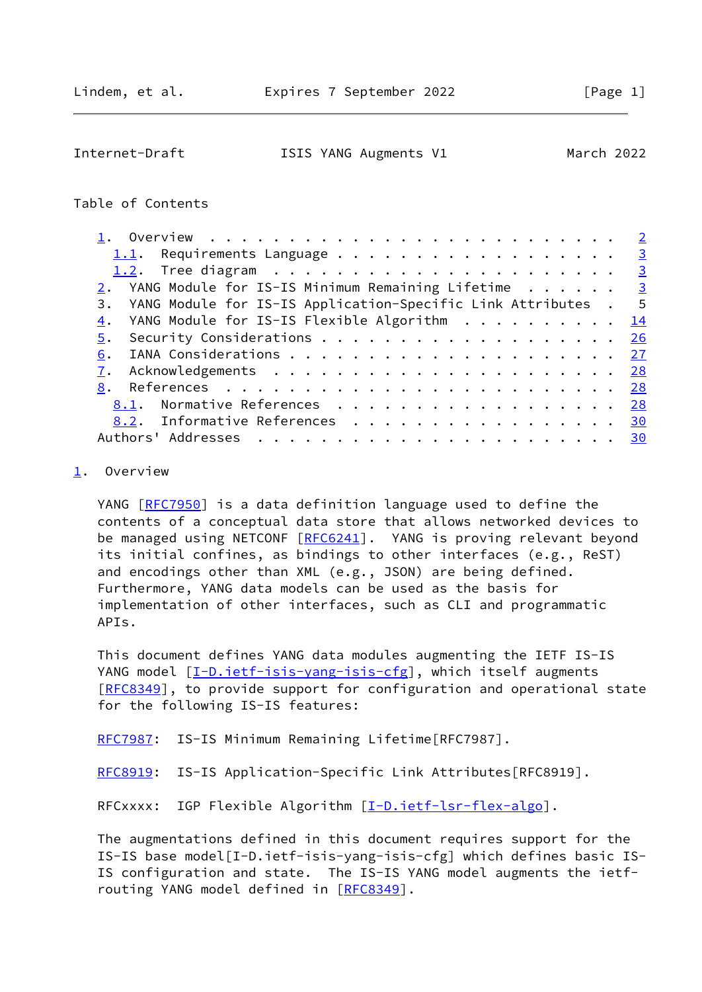<span id="page-1-1"></span>Internet-Draft ISIS YANG Augments V1 March 2022

## Table of Contents

| 1.1. Requirements Language 3                                                          |           |
|---------------------------------------------------------------------------------------|-----------|
|                                                                                       |           |
| 2. YANG Module for IS-IS Minimum Remaining Lifetime $\cdot \cdot \cdot \cdot \cdot$ 3 |           |
| 3. YANG Module for IS-IS Application-Specific Link Attributes . 5                     |           |
| 4. YANG Module for IS-IS Flexible Algorithm 14                                        |           |
| 5.                                                                                    | 26        |
| 6.                                                                                    | 27        |
|                                                                                       | <u>28</u> |
|                                                                                       | 28        |
| 8.1. Normative References                                                             | 28        |
| 8.2. Informative References 30                                                        |           |
|                                                                                       | 30        |
|                                                                                       |           |

## <span id="page-1-0"></span>[1](#page-1-0). Overview

YANG [\[RFC7950](https://datatracker.ietf.org/doc/pdf/rfc7950)] is a data definition language used to define the contents of a conceptual data store that allows networked devices to be managed using NETCONF [\[RFC6241](https://datatracker.ietf.org/doc/pdf/rfc6241)]. YANG is proving relevant beyond its initial confines, as bindings to other interfaces (e.g., ReST) and encodings other than XML (e.g., JSON) are being defined. Furthermore, YANG data models can be used as the basis for implementation of other interfaces, such as CLI and programmatic APIs.

 This document defines YANG data modules augmenting the IETF IS-IS YANG model [[I-D.ietf-isis-yang-isis-cfg\]](#page-31-2), which itself augments [\[RFC8349](https://datatracker.ietf.org/doc/pdf/rfc8349)], to provide support for configuration and operational state for the following IS-IS features:

[RFC7987](https://datatracker.ietf.org/doc/pdf/rfc7987): IS-IS Minimum Remaining Lifetime[RFC7987].

[RFC8919](https://datatracker.ietf.org/doc/pdf/rfc8919): IS-IS Application-Specific Link Attributes[RFC8919].

RFCxxxx: IGP Flexible Algorithm [\[I-D.ietf-lsr-flex-algo](#page-31-3)].

 The augmentations defined in this document requires support for the IS-IS base model[I-D.ietf-isis-yang-isis-cfg] which defines basic IS- IS configuration and state. The IS-IS YANG model augments the ietf- routing YANG model defined in [[RFC8349](https://datatracker.ietf.org/doc/pdf/rfc8349)].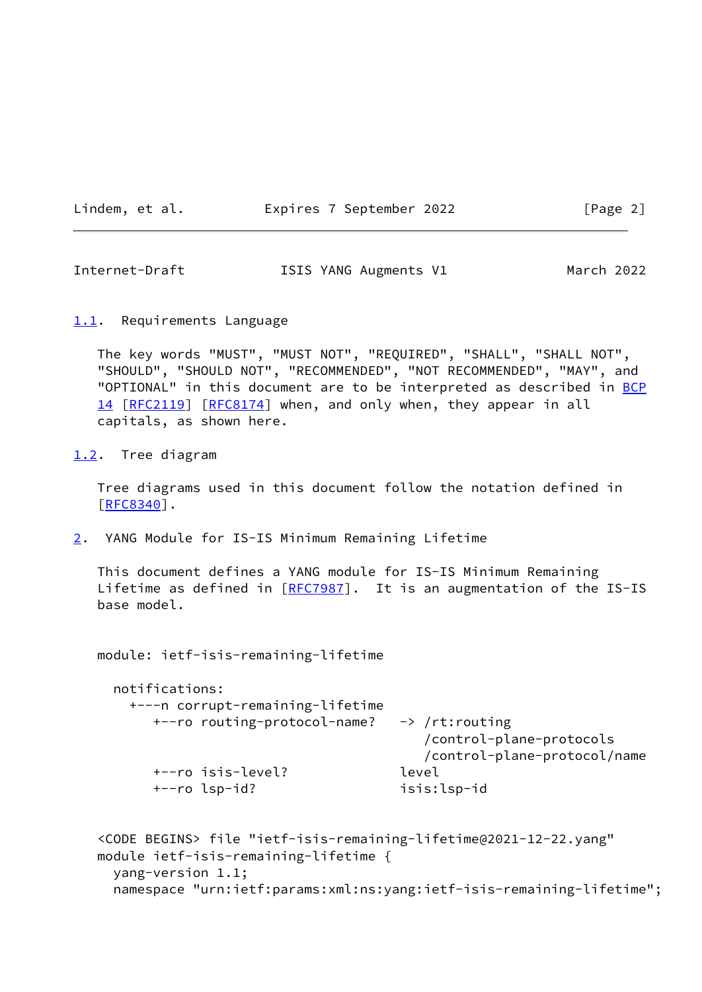Lindem, et al. Expires 7 September 2022 [Page 2]

<span id="page-2-1"></span>Internet-Draft ISIS YANG Augments V1 March 2022

<span id="page-2-0"></span>[1.1](#page-2-0). Requirements Language

 The key words "MUST", "MUST NOT", "REQUIRED", "SHALL", "SHALL NOT", "SHOULD", "SHOULD NOT", "RECOMMENDED", "NOT RECOMMENDED", "MAY", and "OPTIONAL" in this document are to be interpreted as described in [BCP](https://datatracker.ietf.org/doc/pdf/bcp14) [14](https://datatracker.ietf.org/doc/pdf/bcp14) [[RFC2119\]](https://datatracker.ietf.org/doc/pdf/rfc2119) [\[RFC8174](https://datatracker.ietf.org/doc/pdf/rfc8174)] when, and only when, they appear in all capitals, as shown here.

<span id="page-2-2"></span>[1.2](#page-2-2). Tree diagram

 Tree diagrams used in this document follow the notation defined in [\[RFC8340](https://datatracker.ietf.org/doc/pdf/rfc8340)].

<span id="page-2-3"></span>[2](#page-2-3). YANG Module for IS-IS Minimum Remaining Lifetime

 This document defines a YANG module for IS-IS Minimum Remaining Lifetime as defined in [\[RFC7987](https://datatracker.ietf.org/doc/pdf/rfc7987)]. It is an augmentation of the IS-IS base model.

module: ietf-isis-remaining-lifetime

| +---n corrupt-remaining-lifetime |                              |
|----------------------------------|------------------------------|
| +--ro routing-protocol-name?     | -> /rt:routing               |
|                                  | /control-plane-protocols     |
|                                  | /control-plane-protocol/name |
| +--ro isis-level?                | level                        |
| +--ro lsp-id?                    | isis:lsp-id                  |

```
 <CODE BEGINS> file "ietf-isis-remaining-lifetime@2021-12-22.yang"
 module ietf-isis-remaining-lifetime {
   yang-version 1.1;
   namespace "urn:ietf:params:xml:ns:yang:ietf-isis-remaining-lifetime";
```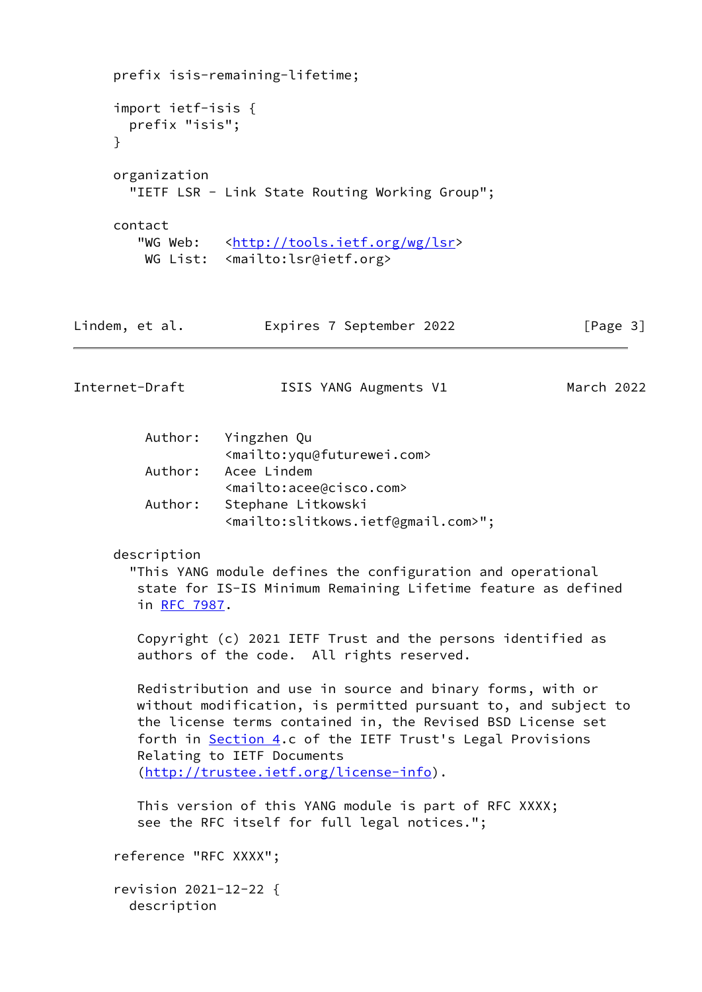```
 prefix isis-remaining-lifetime;
      import ietf-isis {
        prefix "isis";
      }
      organization
        "IETF LSR - Link State Routing Working Group";
      contact
        <http://tools.ietf.org/wg/lsr>
        WG List: <mailto:lsr@ietf.org>
Lindem, et al.               Expires 7 September 2022                 [Page 3]
Internet-Draft ISIS YANG Augments V1 March 2022
          Author: Yingzhen Qu
                    <mailto:yqu@futurewei.com>
          Author: Acee Lindem
                   <mailto:acee@cisco.com>
          Author: Stephane Litkowski
                    <mailto:slitkows.ietf@gmail.com>";
      description
        "This YANG module defines the configuration and operational
         state for IS-IS Minimum Remaining Lifetime feature as defined
         in RFC 7987.
         Copyright (c) 2021 IETF Trust and the persons identified as
         authors of the code. All rights reserved.
         Redistribution and use in source and binary forms, with or
        without modification, is permitted pursuant to, and subject to
         the license terms contained in, the Revised BSD License set
        forth in Section 4.c of the IETF Trust's Legal Provisions
         Relating to IETF Documents
         (http://trustee.ietf.org/license-info).
         This version of this YANG module is part of RFC XXXX;
         see the RFC itself for full legal notices.";
      reference "RFC XXXX";
      revision 2021-12-22 {
        description
```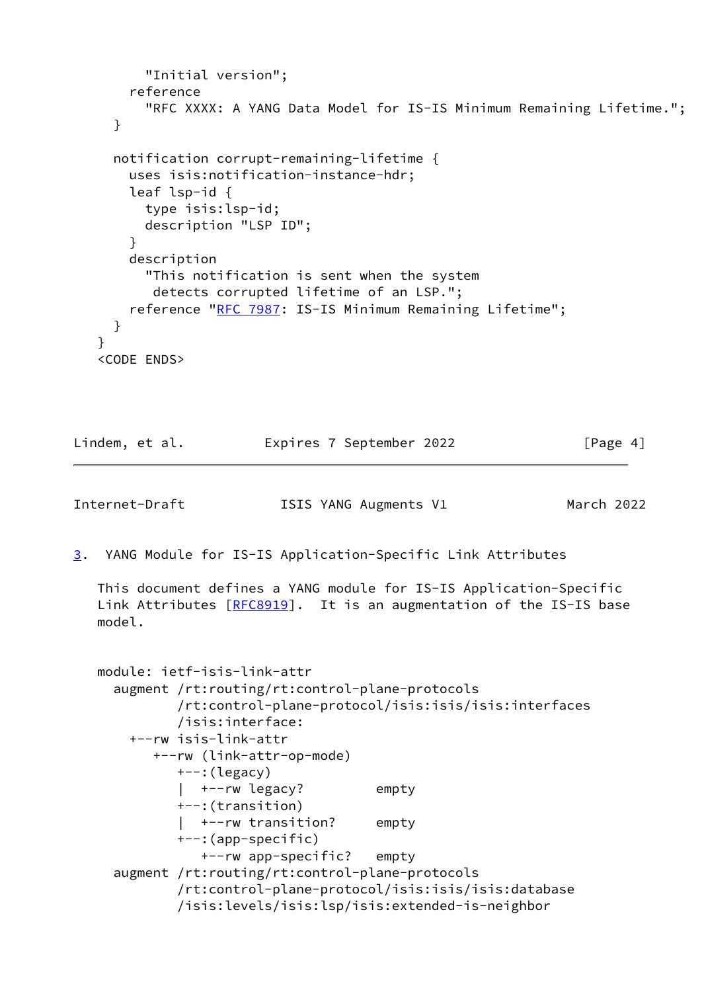```
 "Initial version";
       reference
          "RFC XXXX: A YANG Data Model for IS-IS Minimum Remaining Lifetime.";
     }
     notification corrupt-remaining-lifetime {
       uses isis:notification-instance-hdr;
       leaf lsp-id {
         type isis:lsp-id;
         description "LSP ID";
       }
       description
          "This notification is sent when the system
          detects corrupted lifetime of an LSP.";
       RFC 7987: IS-IS Minimum Remaining Lifetime";
     }
    }
    <CODE ENDS>
Lindem, et al.             Expires 7 September 2022               [Page 4]
Internet-Draft ISIS YANG Augments V1 March 2022
3. YANG Module for IS-IS Application-Specific Link Attributes
   This document defines a YANG module for IS-IS Application-Specific
  [RFC8919]. It is an augmentation of the IS-IS base
   model.
   module: ietf-isis-link-attr
      augment /rt:routing/rt:control-plane-protocols
              /rt:control-plane-protocol/isis:isis/isis:interfaces
              /isis:interface:
       +--rw isis-link-attr
           +--rw (link-attr-op-mode)
              +--:(legacy)
              | +--rw legacy? empty
              +--:(transition)
              | +--rw transition? empty
              +--:(app-specific)
                +--rw app-specific? empty
      augment /rt:routing/rt:control-plane-protocols
              /rt:control-plane-protocol/isis:isis/isis:database
              /isis:levels/isis:lsp/isis:extended-is-neighbor
```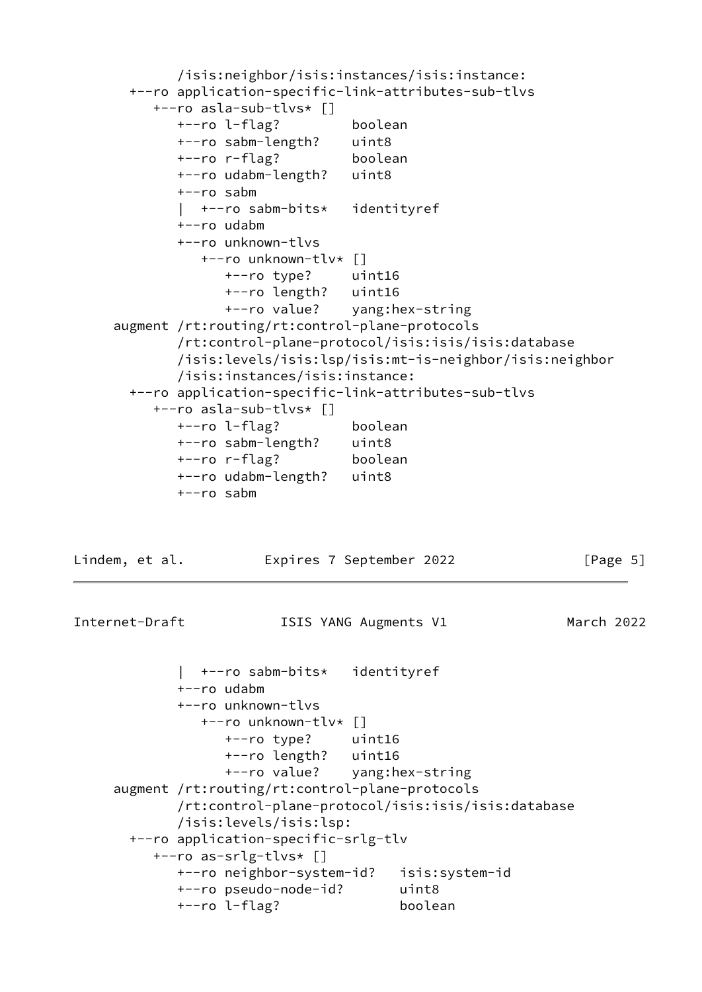```
 /isis:neighbor/isis:instances/isis:instance:
  +--ro application-specific-link-attributes-sub-tlvs
     +--ro asla-sub-tlvs* []
        +--ro l-flag? boolean
        +--ro sabm-length? uint8
        +--ro r-flag? boolean
        +--ro udabm-length? uint8
        +--ro sabm
        | +--ro sabm-bits* identityref
        +--ro udabm
        +--ro unknown-tlvs
           +--ro unknown-tlv* []
              +--ro type? uint16
              +--ro length? uint16
              +--ro value? yang:hex-string
 augment /rt:routing/rt:control-plane-protocols
        /rt:control-plane-protocol/isis:isis/isis:database
        /isis:levels/isis:lsp/isis:mt-is-neighbor/isis:neighbor
        /isis:instances/isis:instance:
  +--ro application-specific-link-attributes-sub-tlvs
     +--ro asla-sub-tlvs* []
        +--ro l-flag? boolean
        +--ro sabm-length? uint8
        +--ro r-flag? boolean
        +--ro udabm-length? uint8
        +--ro sabm
```
Lindem, et al. Expires 7 September 2022 [Page 5]

Internet-Draft **ISIS YANG Augments V1** March 2022

```
 | +--ro sabm-bits* identityref
        +--ro udabm
        +--ro unknown-tlvs
           +--ro unknown-tlv* []
              +--ro type? uint16
              +--ro length? uint16
              +--ro value? yang:hex-string
 augment /rt:routing/rt:control-plane-protocols
        /rt:control-plane-protocol/isis:isis/isis:database
        /isis:levels/isis:lsp:
  +--ro application-specific-srlg-tlv
     +--ro as-srlg-tlvs* []
        +--ro neighbor-system-id? isis:system-id
        +--ro pseudo-node-id? uint8
        +--ro l-flag? boolean
```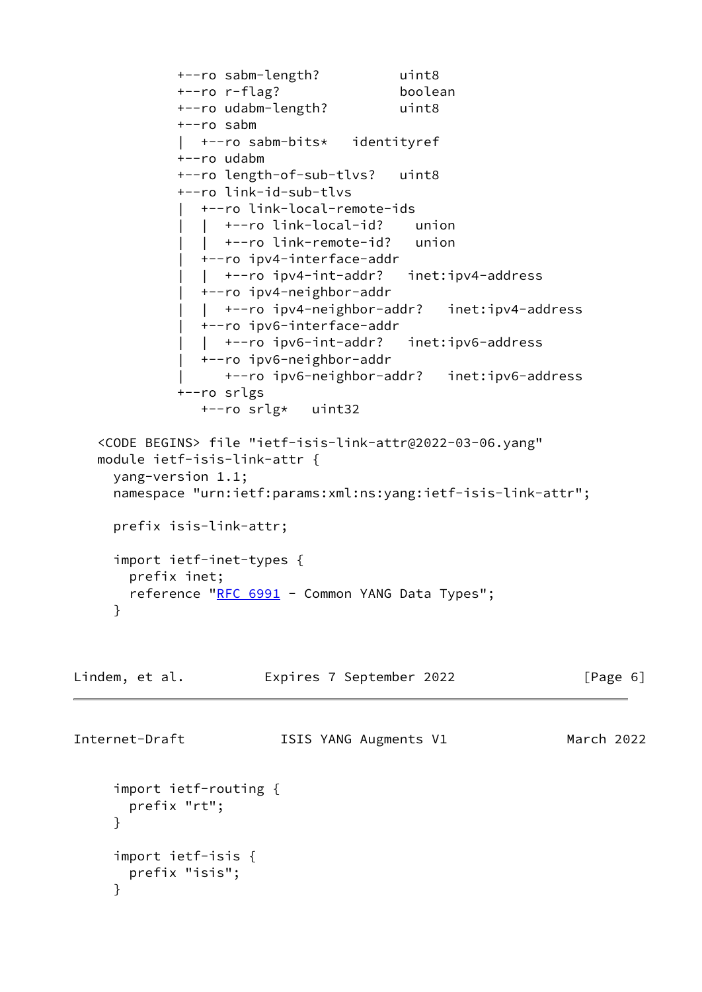```
 +--ro sabm-length? uint8
             +--ro r-flag? boolean
             +--ro udabm-length? uint8
             +--ro sabm
             | +--ro sabm-bits* identityref
             +--ro udabm
             +--ro length-of-sub-tlvs? uint8
             +--ro link-id-sub-tlvs
             | +--ro link-local-remote-ids
                | | +--ro link-local-id? union
                | | +--ro link-remote-id? union
               | +--ro ipv4-interface-addr
                | | +--ro ipv4-int-addr? inet:ipv4-address
                | +--ro ipv4-neighbor-addr
                | | +--ro ipv4-neighbor-addr? inet:ipv4-address
               | +--ro ipv6-interface-addr
                | | +--ro ipv6-int-addr? inet:ipv6-address
                | +--ro ipv6-neighbor-addr
                 | +--ro ipv6-neighbor-addr? inet:ipv6-address
             +--ro srlgs
                +--ro srlg* uint32
   <CODE BEGINS> file "ietf-isis-link-attr@2022-03-06.yang"
   module ietf-isis-link-attr {
     yang-version 1.1;
     namespace "urn:ietf:params:xml:ns:yang:ietf-isis-link-attr";
     prefix isis-link-attr;
     import ietf-inet-types {
       prefix inet;
      RFC 6991 - Common YANG Data Types";
     }
Lindem, et al. Expires 7 September 2022 [Page 6]
Internet-Draft ISIS YANG Augments V1 March 2022
     import ietf-routing {
       prefix "rt";
     }
     import ietf-isis {
       prefix "isis";
     }
```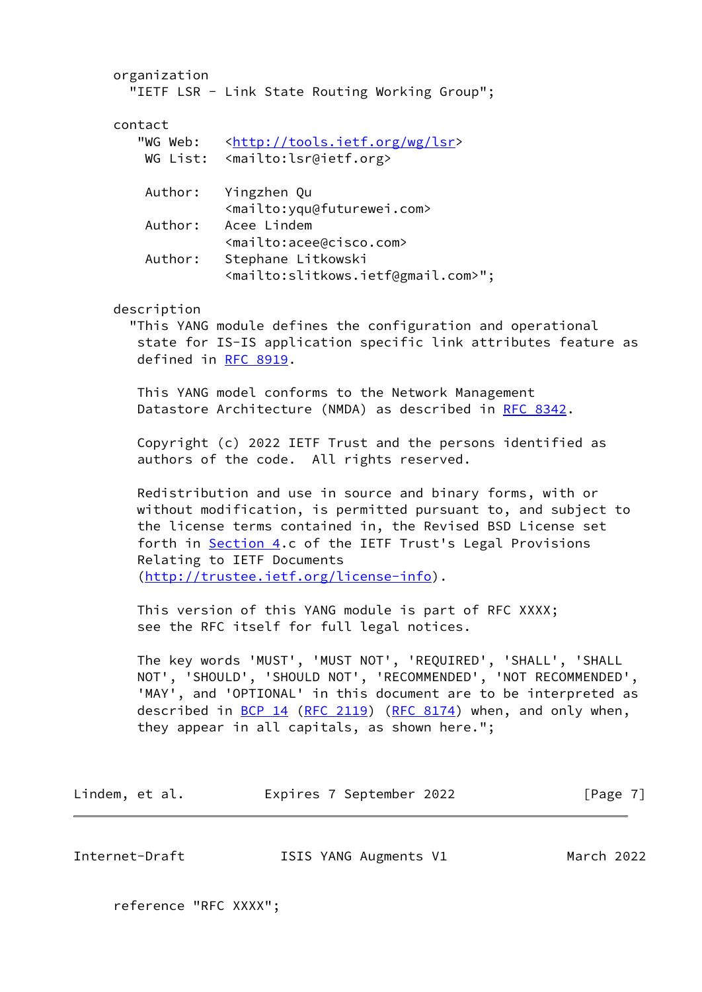organization "IETF LSR - Link State Routing Working Group"; contact "WG Web: [<http://tools.ietf.org/wg/lsr](http://tools.ietf.org/wg/lsr)> WG List: <mailto:lsr@ietf.org> Author: Yingzhen Qu <mailto:yqu@futurewei.com> Author: Acee Lindem <mailto:acee@cisco.com> Author: Stephane Litkowski <mailto:slitkows.ietf@gmail.com>"; description "This YANG module defines the configuration and operational state for IS-IS application specific link attributes feature as defined in [RFC 8919](https://datatracker.ietf.org/doc/pdf/rfc8919). This YANG model conforms to the Network Management Datastore Architecture (NMDA) as described in [RFC 8342.](https://datatracker.ietf.org/doc/pdf/rfc8342) Copyright (c) 2022 IETF Trust and the persons identified as authors of the code. All rights reserved. Redistribution and use in source and binary forms, with or without modification, is permitted pursuant to, and subject to the license terms contained in, the Revised BSD License set forth in **Section 4.c** of the IETF Trust's Legal Provisions Relating to IETF Documents [\(http://trustee.ietf.org/license-info](http://trustee.ietf.org/license-info)). This version of this YANG module is part of RFC XXXX; see the RFC itself for full legal notices. The key words 'MUST', 'MUST NOT', 'REQUIRED', 'SHALL', 'SHALL NOT', 'SHOULD', 'SHOULD NOT', 'RECOMMENDED', 'NOT RECOMMENDED', 'MAY', and 'OPTIONAL' in this document are to be interpreted as described in <u>BCP 14</u> [\(RFC 2119](https://datatracker.ietf.org/doc/pdf/rfc2119)) [\(RFC 8174](https://datatracker.ietf.org/doc/pdf/rfc8174)) when, and only when, they appear in all capitals, as shown here."; Lindem, et al. **Expires 7 September 2022** [Page 7]

Internet-Draft ISIS YANG Augments V1 March 2022

reference "RFC XXXX";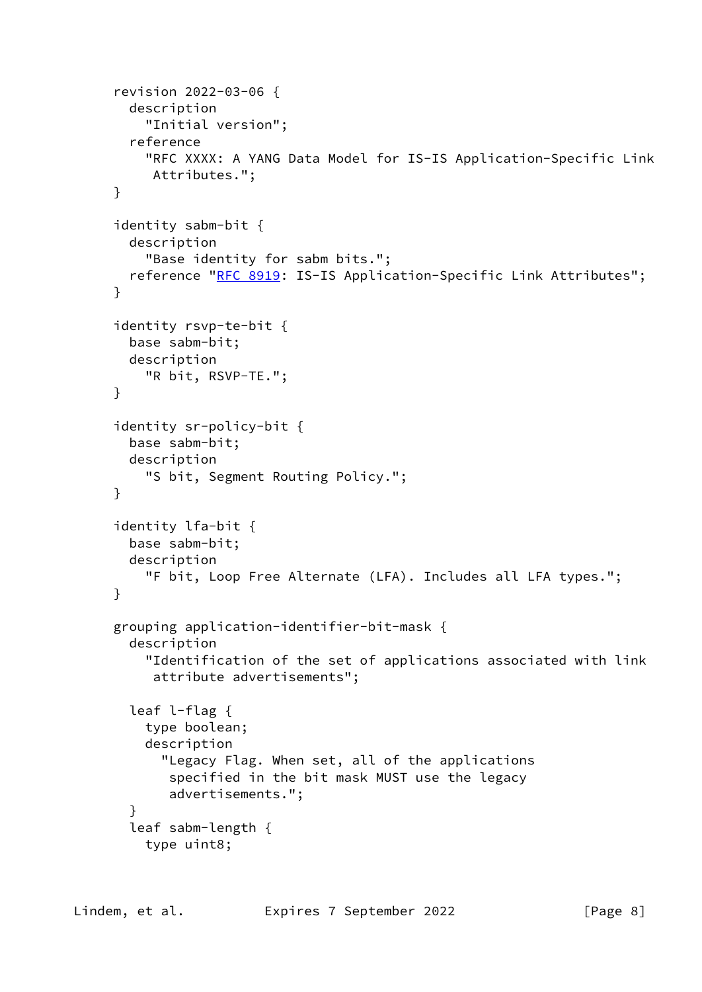```
 revision 2022-03-06 {
   description
     "Initial version";
   reference
     "RFC XXXX: A YANG Data Model for IS-IS Application-Specific Link
      Attributes.";
 }
 identity sabm-bit {
   description
     "Base identity for sabm bits.";
  RFC 8919: IS-IS Application-Specific Link Attributes";
 }
 identity rsvp-te-bit {
   base sabm-bit;
   description
     "R bit, RSVP-TE.";
 }
 identity sr-policy-bit {
   base sabm-bit;
   description
     "S bit, Segment Routing Policy.";
 }
 identity lfa-bit {
   base sabm-bit;
   description
     "F bit, Loop Free Alternate (LFA). Includes all LFA types.";
 }
 grouping application-identifier-bit-mask {
   description
     "Identification of the set of applications associated with link
      attribute advertisements";
   leaf l-flag {
     type boolean;
     description
       "Legacy Flag. When set, all of the applications
        specified in the bit mask MUST use the legacy
        advertisements.";
   }
   leaf sabm-length {
     type uint8;
```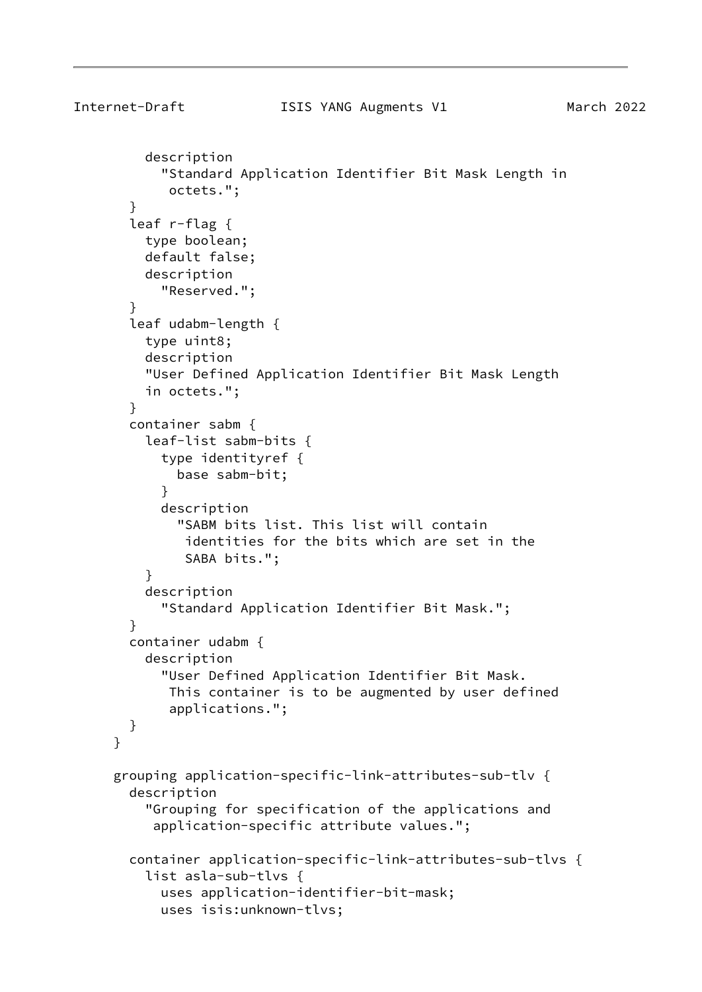```
Internet-Draft ISIS YANG Augments V1 March 2022
          description
            "Standard Application Identifier Bit Mask Length in
             octets.";
        }
        leaf r-flag {
          type boolean;
          default false;
          description
            "Reserved.";
        }
        leaf udabm-length {
          type uint8;
          description
          "User Defined Application Identifier Bit Mask Length
          in octets.";
        }
        container sabm {
          leaf-list sabm-bits {
            type identityref {
              base sabm-bit;
 }
            description
              "SABM bits list. This list will contain
               identities for the bits which are set in the
               SABA bits.";
 }
          description
            "Standard Application Identifier Bit Mask.";
        }
        container udabm {
          description
            "User Defined Application Identifier Bit Mask.
             This container is to be augmented by user defined
             applications.";
        }
      }
      grouping application-specific-link-attributes-sub-tlv {
        description
          "Grouping for specification of the applications and
           application-specific attribute values.";
        container application-specific-link-attributes-sub-tlvs {
          list asla-sub-tlvs {
            uses application-identifier-bit-mask;
            uses isis:unknown-tlvs;
```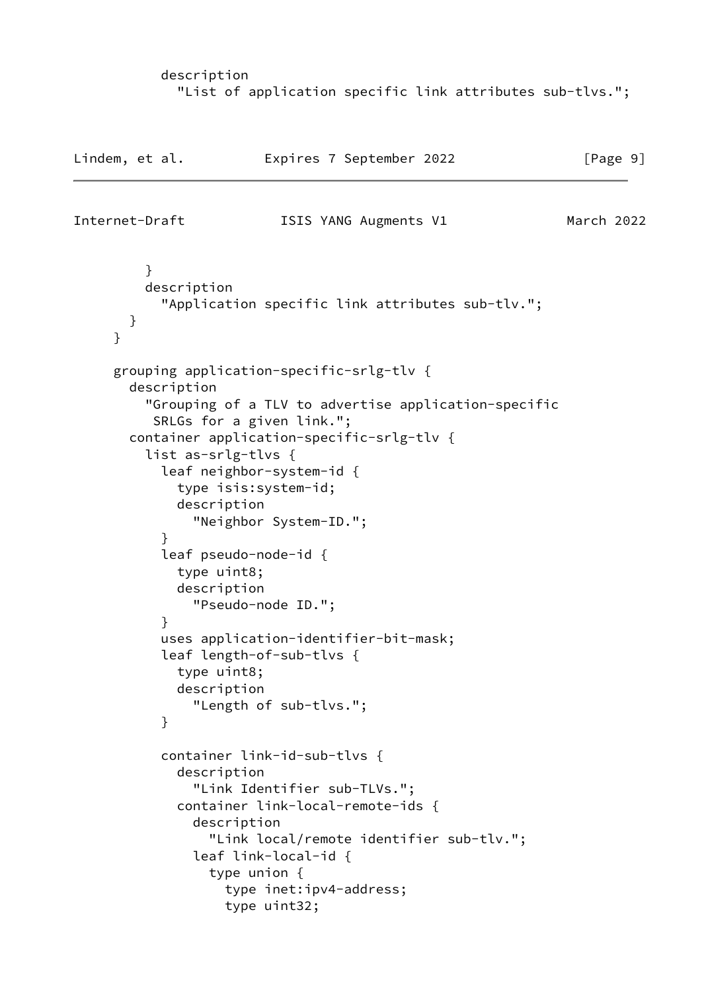## description "List of application specific link attributes sub-tlvs.";

```
Lindem, et al. Expires 7 September 2022 [Page 9]
Internet-Draft ISIS YANG Augments V1 March 2022
         }
         description
           "Application specific link attributes sub-tlv.";
       }
     }
     grouping application-specific-srlg-tlv {
       description
         "Grouping of a TLV to advertise application-specific
          SRLGs for a given link.";
       container application-specific-srlg-tlv {
         list as-srlg-tlvs {
           leaf neighbor-system-id {
             type isis:system-id;
             description
               "Neighbor System-ID.";
 }
           leaf pseudo-node-id {
             type uint8;
             description
               "Pseudo-node ID.";
 }
           uses application-identifier-bit-mask;
           leaf length-of-sub-tlvs {
             type uint8;
             description
               "Length of sub-tlvs.";
 }
           container link-id-sub-tlvs {
             description
               "Link Identifier sub-TLVs.";
             container link-local-remote-ids {
               description
                 "Link local/remote identifier sub-tlv.";
               leaf link-local-id {
                 type union {
                   type inet:ipv4-address;
                   type uint32;
```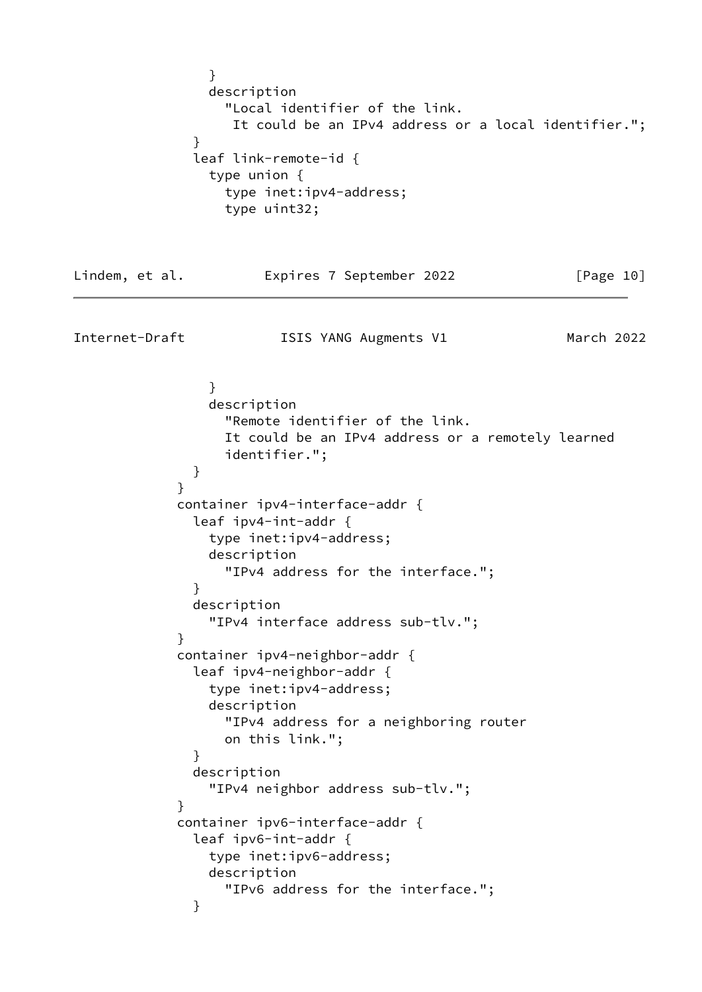} description "Local identifier of the link. It could be an IPv4 address or a local identifier."; } leaf link-remote-id { type union { type inet:ipv4-address; type uint32; Lindem, et al. **Expires 7 September 2022** [Page 10] Internet-Draft ISIS YANG Augments V1 March 2022 } description "Remote identifier of the link. It could be an IPv4 address or a remotely learned identifier."; } } container ipv4-interface-addr { leaf ipv4-int-addr { type inet:ipv4-address; description "IPv4 address for the interface."; } description "IPv4 interface address sub-tlv."; } container ipv4-neighbor-addr { leaf ipv4-neighbor-addr { type inet:ipv4-address; description "IPv4 address for a neighboring router on this link."; } description "IPv4 neighbor address sub-tlv."; } container ipv6-interface-addr { leaf ipv6-int-addr { type inet:ipv6-address; description "IPv6 address for the interface."; }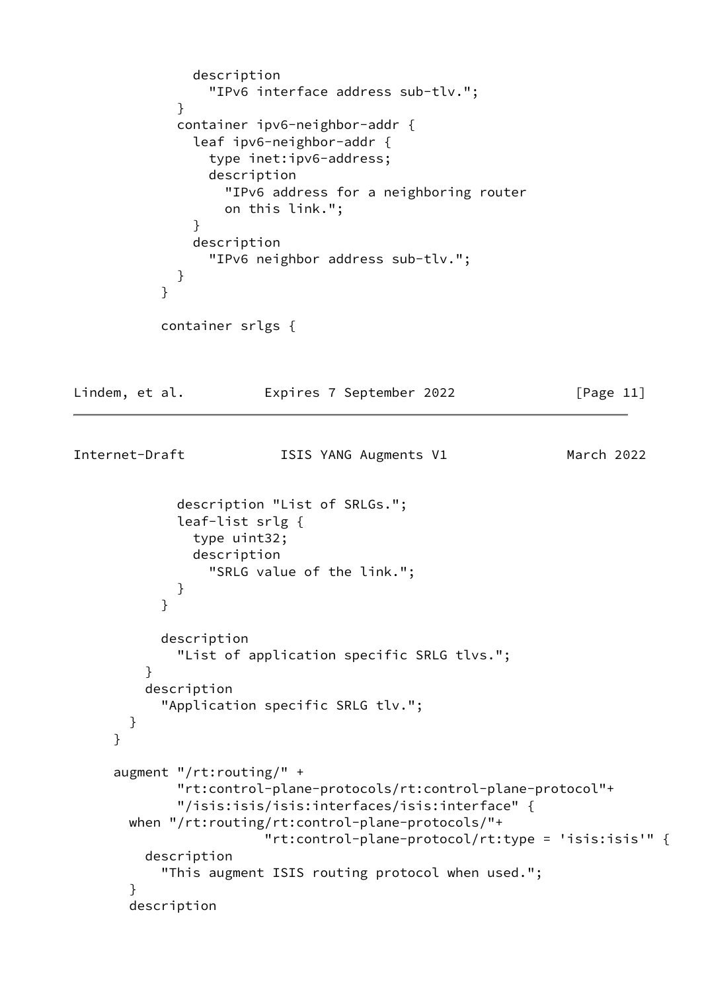```
 description
                 "IPv6 interface address sub-tlv.";
 }
             container ipv6-neighbor-addr {
               leaf ipv6-neighbor-addr {
                 type inet:ipv6-address;
                 description
                   "IPv6 address for a neighboring router
                   on this link.";
 }
               description
                 "IPv6 neighbor address sub-tlv.";
 }
 }
           container srlgs {
Lindem, et al.             Expires 7 September 2022               [Page 11]
Internet-Draft ISIS YANG Augments V1 March 2022
             description "List of SRLGs.";
             leaf-list srlg {
               type uint32;
               description
                 "SRLG value of the link.";
 }
 }
           description
             "List of application specific SRLG tlvs.";
 }
         description
           "Application specific SRLG tlv.";
       }
     }
     augment "/rt:routing/" +
             "rt:control-plane-protocols/rt:control-plane-protocol"+
             "/isis:isis/isis:interfaces/isis:interface" {
       when "/rt:routing/rt:control-plane-protocols/"+
                       "rt:control-plane-protocol/rt:type = 'isis:isis'" {
         description
           "This augment ISIS routing protocol when used.";
       }
       description
```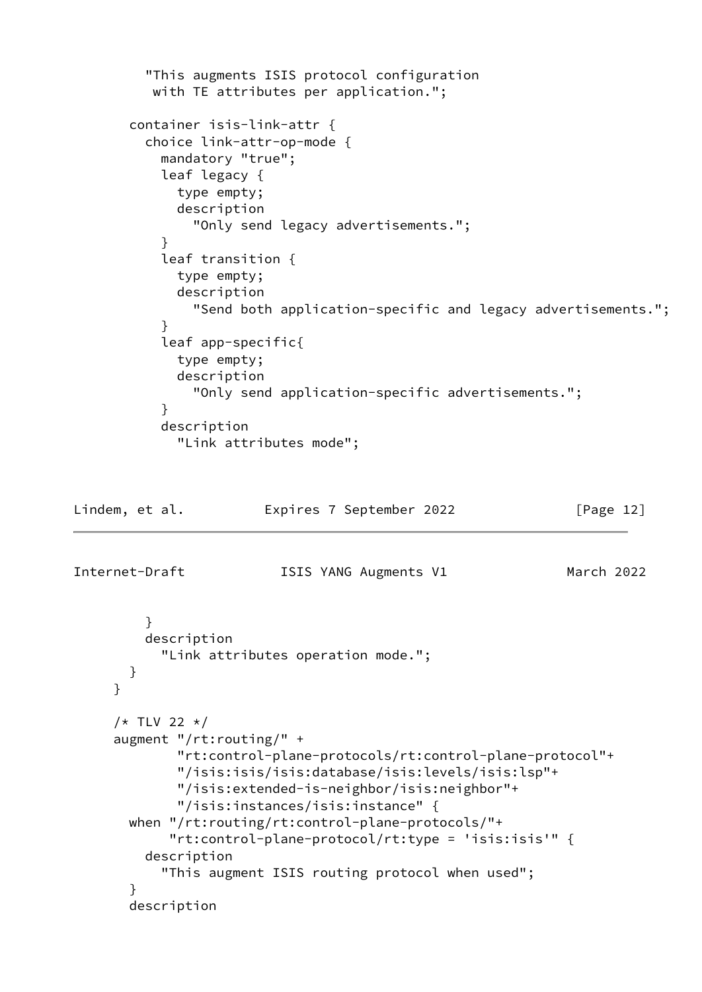```
 "This augments ISIS protocol configuration
          with TE attributes per application.";
       container isis-link-attr {
         choice link-attr-op-mode {
           mandatory "true";
           leaf legacy {
             type empty;
             description
               "Only send legacy advertisements.";
 }
           leaf transition {
             type empty;
             description
               "Send both application-specific and legacy advertisements.";
 }
           leaf app-specific{
             type empty;
             description
               "Only send application-specific advertisements.";
 }
           description
             "Link attributes mode";
Lindem, et al.             Expires 7 September 2022               [Page 12]
Internet-Draft ISIS YANG Augments V1 March 2022
         }
         description
           "Link attributes operation mode.";
       }
     }
    /* TLV 22 */
```

```
 augment "/rt:routing/" +
         "rt:control-plane-protocols/rt:control-plane-protocol"+
         "/isis:isis/isis:database/isis:levels/isis:lsp"+
         "/isis:extended-is-neighbor/isis:neighbor"+
         "/isis:instances/isis:instance" {
  when "/rt:routing/rt:control-plane-protocols/"+
        "rt:control-plane-protocol/rt:type = 'isis:isis'" {
     description
       "This augment ISIS routing protocol when used";
   }
  description
```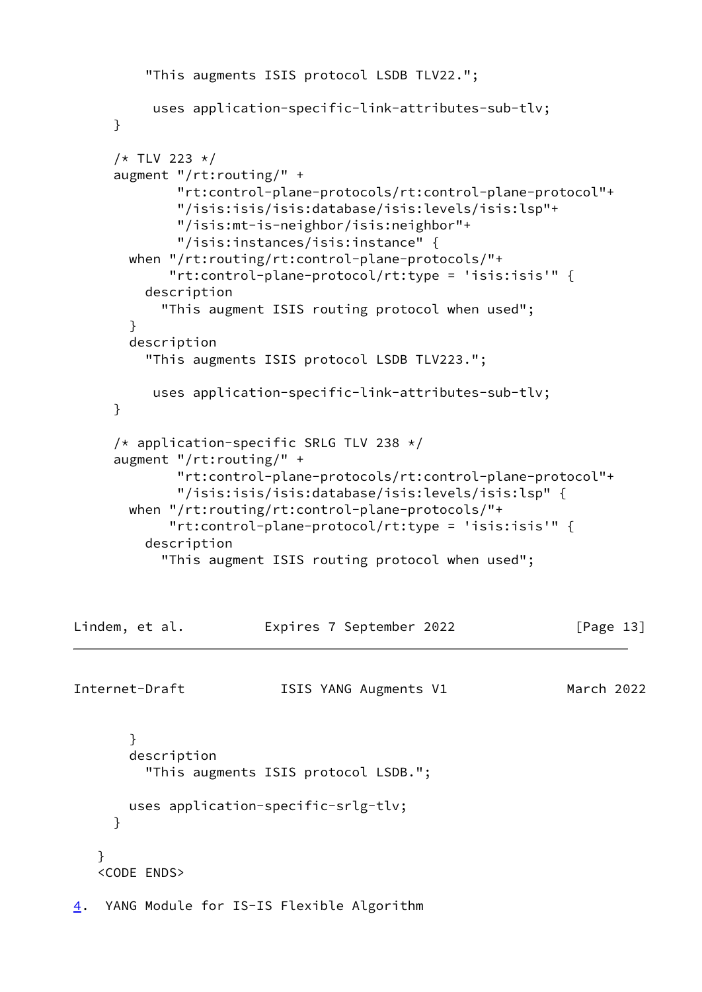```
 "This augments ISIS protocol LSDB TLV22.";
           uses application-specific-link-attributes-sub-tlv;
      }
     /* TLV 223 */ augment "/rt:routing/" +
              "rt:control-plane-protocols/rt:control-plane-protocol"+
              "/isis:isis/isis:database/isis:levels/isis:lsp"+
              "/isis:mt-is-neighbor/isis:neighbor"+
              "/isis:instances/isis:instance" {
        when "/rt:routing/rt:control-plane-protocols/"+
             "rt:control-plane-protocol/rt:type = 'isis:isis'" {
          description
            "This augment ISIS routing protocol when used";
        }
        description
          "This augments ISIS protocol LSDB TLV223.";
           uses application-specific-link-attributes-sub-tlv;
      }
     /* application-specific SRLG TLV 238 */ augment "/rt:routing/" +
              "rt:control-plane-protocols/rt:control-plane-protocol"+
              "/isis:isis/isis:database/isis:levels/isis:lsp" {
        when "/rt:routing/rt:control-plane-protocols/"+
             "rt:control-plane-protocol/rt:type = 'isis:isis'" {
          description
            "This augment ISIS routing protocol when used";
Lindem, et al.             Expires 7 September 2022             [Page 13]
Internet-Draft ISIS YANG Augments V1 March 2022
        }
        description
          "This augments ISIS protocol LSDB.";
        uses application-specific-srlg-tlv;
      }
    }
    <CODE ENDS>
4. YANG Module for IS-IS Flexible Algorithm
```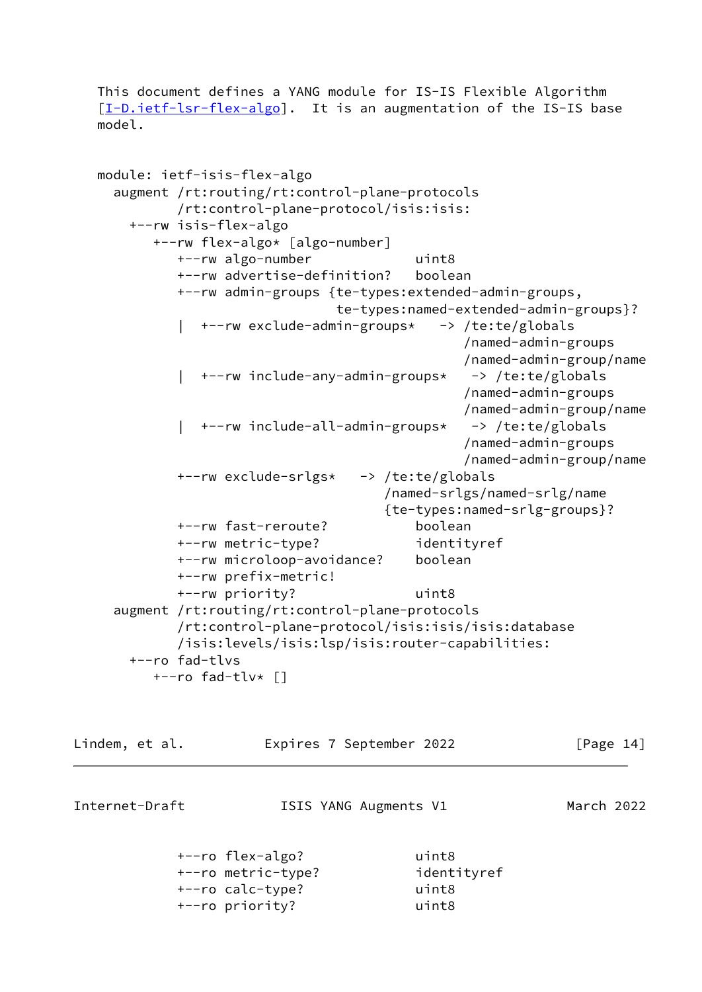This document defines a YANG module for IS-IS Flexible Algorithm [\[I-D.ietf-lsr-flex-algo](#page-31-3)]. It is an augmentation of the IS-IS base model.

```
 module: ietf-isis-flex-algo
   augment /rt:routing/rt:control-plane-protocols
          /rt:control-plane-protocol/isis:isis:
     +--rw isis-flex-algo
        +--rw flex-algo* [algo-number]
          +--rw algo-number uint8
          +--rw advertise-definition? boolean
          +--rw admin-groups {te-types:extended-admin-groups,
                              te-types:named-extended-admin-groups}?
           | +--rw exclude-admin-groups* -> /te:te/globals
                                              /named-admin-groups
                                              /named-admin-group/name
           | +--rw include-any-admin-groups* -> /te:te/globals
                                              /named-admin-groups
                                              /named-admin-group/name
           | +--rw include-all-admin-groups* -> /te:te/globals
                                              /named-admin-groups
                                              /named-admin-group/name
          +--rw exclude-srlgs* -> /te:te/globals
                                    /named-srlgs/named-srlg/name
                                    {te-types:named-srlg-groups}?
          +--rw fast-reroute? boolean
          +--rw metric-type? identityref
          +--rw microloop-avoidance? boolean
          +--rw prefix-metric!
          +--rw priority? uint8
   augment /rt:routing/rt:control-plane-protocols
          /rt:control-plane-protocol/isis:isis/isis:database
          /isis:levels/isis:lsp/isis:router-capabilities:
    +--ro fad-tlvs
       +--ro fad-tlv* []
```

| Lindem, et al. |                                        | Expires 7 September 2022 | [Page 14]  |  |
|----------------|----------------------------------------|--------------------------|------------|--|
| Internet-Draft |                                        | ISIS YANG Augments V1    | March 2022 |  |
|                | +--ro flex-algo?<br>+--ro metric-type? | uint8<br>identityref     |            |  |

 +--ro calc-type? uint8 +--ro priority? uint8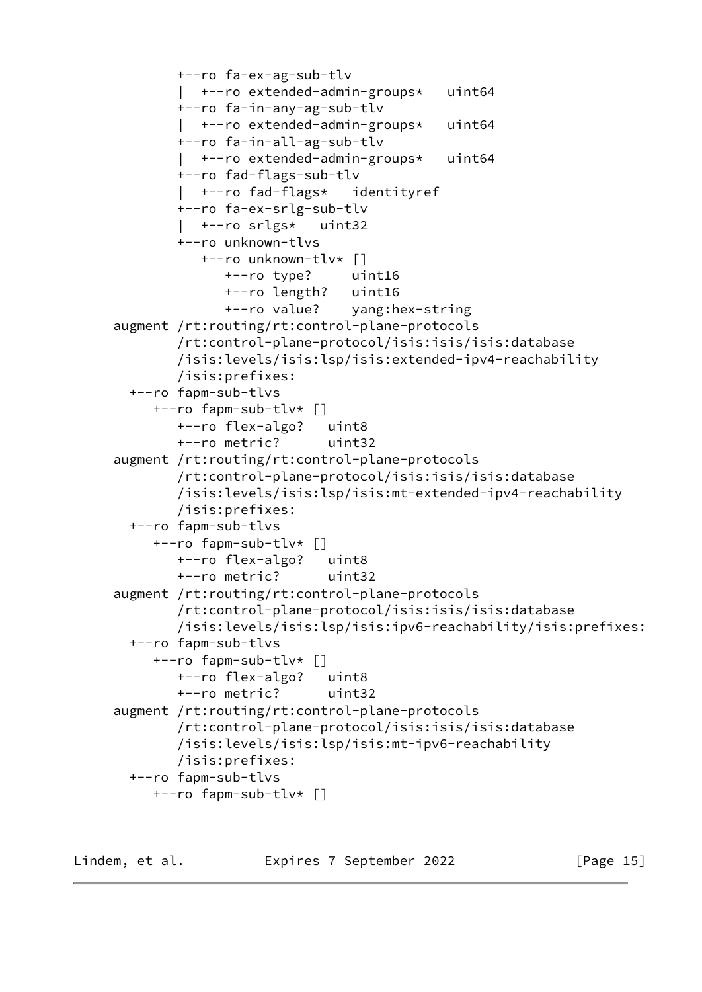```
 +--ro fa-ex-ag-sub-tlv
         | +--ro extended-admin-groups* uint64
         +--ro fa-in-any-ag-sub-tlv
           | +--ro extended-admin-groups* uint64
         +--ro fa-in-all-ag-sub-tlv
         | +--ro extended-admin-groups* uint64
         +--ro fad-flags-sub-tlv
           | +--ro fad-flags* identityref
         +--ro fa-ex-srlg-sub-tlv
         | +--ro srlgs* uint32
         +--ro unknown-tlvs
            +--ro unknown-tlv* []
               +--ro type? uint16
               +--ro length? uint16
               +--ro value? yang:hex-string
 augment /rt:routing/rt:control-plane-protocols
         /rt:control-plane-protocol/isis:isis/isis:database
         /isis:levels/isis:lsp/isis:extended-ipv4-reachability
         /isis:prefixes:
  +--ro fapm-sub-tlvs
      +--ro fapm-sub-tlv* []
         +--ro flex-algo? uint8
         +--ro metric? uint32
 augment /rt:routing/rt:control-plane-protocols
         /rt:control-plane-protocol/isis:isis/isis:database
         /isis:levels/isis:lsp/isis:mt-extended-ipv4-reachability
         /isis:prefixes:
  +--ro fapm-sub-tlvs
      +--ro fapm-sub-tlv* []
         +--ro flex-algo? uint8
         +--ro metric? uint32
 augment /rt:routing/rt:control-plane-protocols
         /rt:control-plane-protocol/isis:isis/isis:database
         /isis:levels/isis:lsp/isis:ipv6-reachability/isis:prefixes:
  +--ro fapm-sub-tlvs
      +--ro fapm-sub-tlv* []
         +--ro flex-algo? uint8
         +--ro metric? uint32
 augment /rt:routing/rt:control-plane-protocols
         /rt:control-plane-protocol/isis:isis/isis:database
         /isis:levels/isis:lsp/isis:mt-ipv6-reachability
         /isis:prefixes:
  +--ro fapm-sub-tlvs
      +--ro fapm-sub-tlv* []
```
Lindem, et al. **Expires 7 September 2022** [Page 15]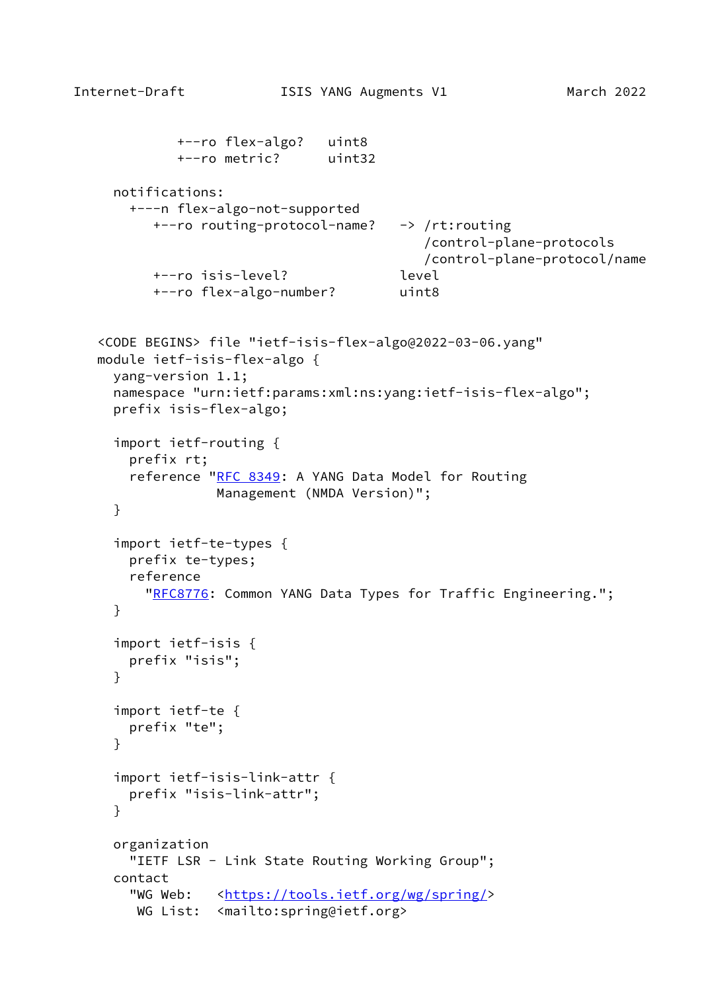```
Internet-Draft ISIS YANG Augments V1 March 2022
           +--ro flex-algo? uint8
           +--ro metric? uint32
     notifications:
```

```
 +---n flex-algo-not-supported
   +--ro routing-protocol-name? -> /rt:routing
                                   /control-plane-protocols
                                   /control-plane-protocol/name
   +--ro isis-level? level
   +--ro flex-algo-number? uint8
```

```
 <CODE BEGINS> file "ietf-isis-flex-algo@2022-03-06.yang"
 module ietf-isis-flex-algo {
   yang-version 1.1;
   namespace "urn:ietf:params:xml:ns:yang:ietf-isis-flex-algo";
   prefix isis-flex-algo;
   import ietf-routing {
     prefix rt;
    RFC 8349: A YANG Data Model for Routing
                Management (NMDA Version)";
   }
   import ietf-te-types {
     prefix te-types;
     reference
      RFC8776: Common YANG Data Types for Traffic Engineering.";
   }
   import ietf-isis {
     prefix "isis";
   }
   import ietf-te {
     prefix "te";
   }
   import ietf-isis-link-attr {
     prefix "isis-link-attr";
   }
```

```
 organization
  "IETF LSR - Link State Routing Working Group";
 contact
  <https://tools.ietf.org/wg/spring/>
  WG List: <mailto:spring@ietf.org>
```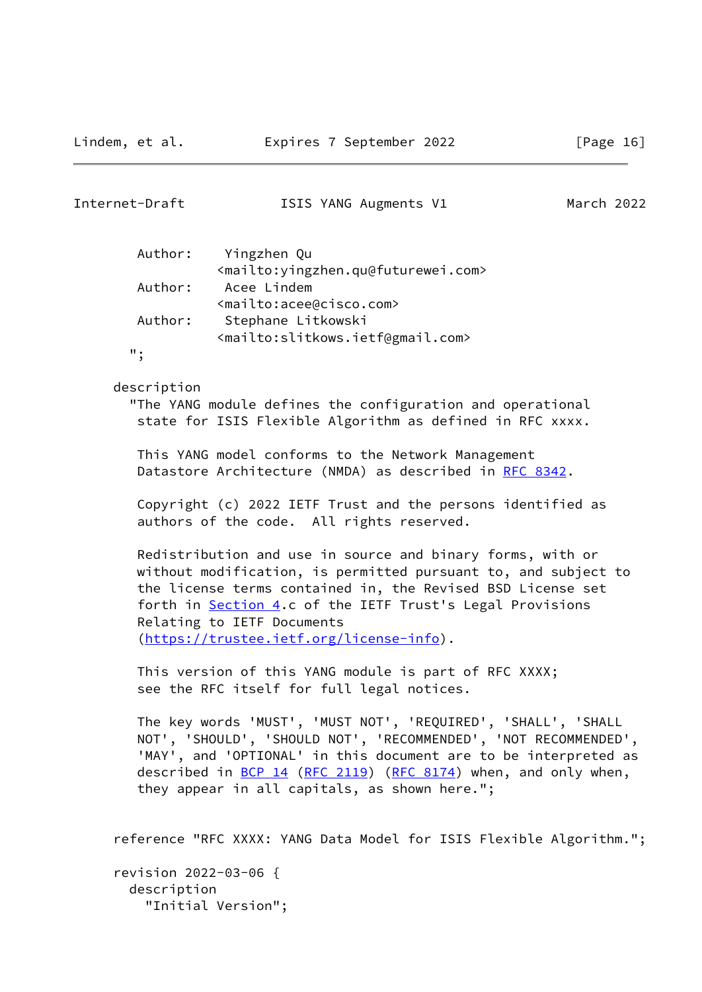| Internet-Draft                       | ISIS YANG Augments V1                                                                                                                                                                                                                                                                                                                | March 2022 |  |
|--------------------------------------|--------------------------------------------------------------------------------------------------------------------------------------------------------------------------------------------------------------------------------------------------------------------------------------------------------------------------------------|------------|--|
| Author:                              | Yingzhen Qu                                                                                                                                                                                                                                                                                                                          |            |  |
| Author:                              | <mailto: yingzhen.qu@futurewei.com=""><br/>Acee Lindem</mailto:>                                                                                                                                                                                                                                                                     |            |  |
| Author:                              | <mailto:acee@cisco.com><br/>Stephane Litkowski</mailto:acee@cisco.com>                                                                                                                                                                                                                                                               |            |  |
| ";                                   | <mailto:slitkows.ietf@gmail.com></mailto:slitkows.ietf@gmail.com>                                                                                                                                                                                                                                                                    |            |  |
| description                          | "The YANG module defines the configuration and operational<br>state for ISIS Flexible Algorithm as defined in RFC xxxx.                                                                                                                                                                                                              |            |  |
|                                      | This YANG model conforms to the Network Management<br>Datastore Architecture (NMDA) as described in RFC 8342.                                                                                                                                                                                                                        |            |  |
|                                      | Copyright (c) 2022 IETF Trust and the persons identified as<br>authors of the code. All rights reserved.                                                                                                                                                                                                                             |            |  |
|                                      | Redistribution and use in source and binary forms, with or<br>without modification, is permitted pursuant to, and subject to<br>the license terms contained in, the Revised BSD License set<br>forth in Section 4.c of the IETF Trust's Legal Provisions<br>Relating to IETF Documents<br>(https://trustee.ietf.org/license-info).   |            |  |
|                                      | This version of this YANG module is part of RFC XXXX;<br>see the RFC itself for full legal notices.                                                                                                                                                                                                                                  |            |  |
|                                      | The key words 'MUST', 'MUST NOT', 'REQUIRED', 'SHALL', 'SHALL<br>NOT', 'SHOULD', 'SHOULD NOT', 'RECOMMENDED', 'NOT RECOMMENDED',<br>'MAY', and 'OPTIONAL' in this document are to be interpreted as<br>described in $\underline{BCP}$ 14 (RFC 2119) (RFC 8174) when, and only when,<br>they appear in all capitals, as shown here."; |            |  |
|                                      | reference "RFC XXXX: YANG Data Model for ISIS Flexible Algorithm.";                                                                                                                                                                                                                                                                  |            |  |
| revision 2022-03-06 {<br>description | "Initial Version";                                                                                                                                                                                                                                                                                                                   |            |  |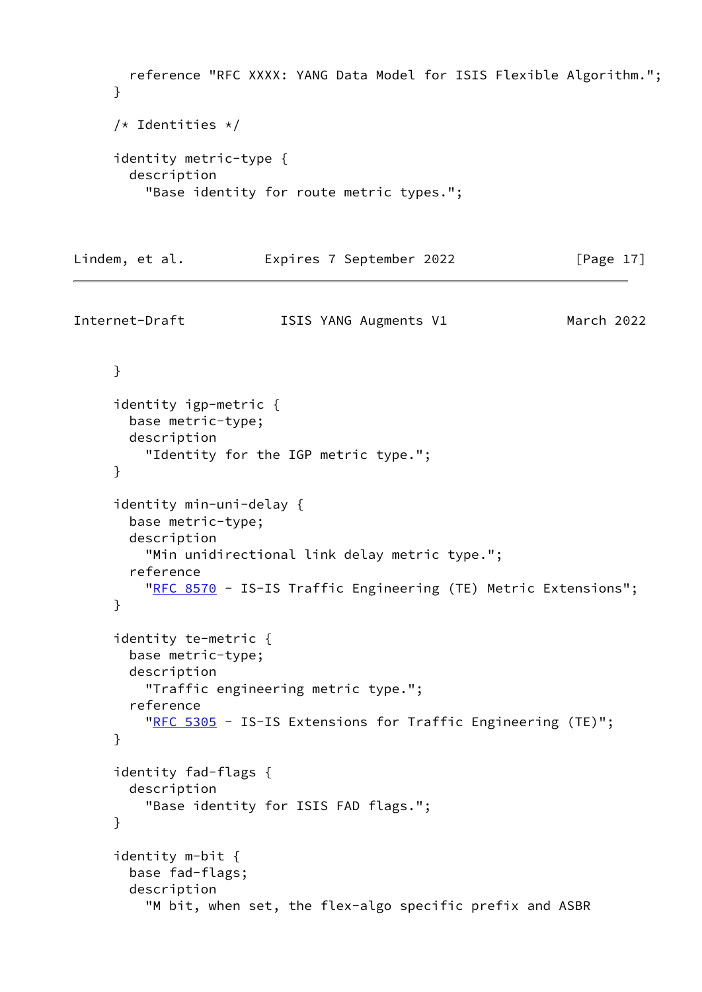```
 reference "RFC XXXX: YANG Data Model for ISIS Flexible Algorithm.";
      }
      /* Identities */
      identity metric-type {
        description
          "Base identity for route metric types.";
Lindem, et al. Expires 7 September 2022 [Page 17]
Internet-Draft ISIS YANG Augments V1 March 2022
      }
      identity igp-metric {
        base metric-type;
        description
          "Identity for the IGP metric type.";
      }
      identity min-uni-delay {
        base metric-type;
        description
          "Min unidirectional link delay metric type.";
        reference
         RFC 8570 - IS-IS Traffic Engineering (TE) Metric Extensions";
      }
      identity te-metric {
        base metric-type;
        description
          "Traffic engineering metric type.";
        reference
         RFC 5305 - IS-IS Extensions for Traffic Engineering (TE)";
      }
      identity fad-flags {
        description
          "Base identity for ISIS FAD flags.";
      }
      identity m-bit {
        base fad-flags;
        description
          "M bit, when set, the flex-algo specific prefix and ASBR
```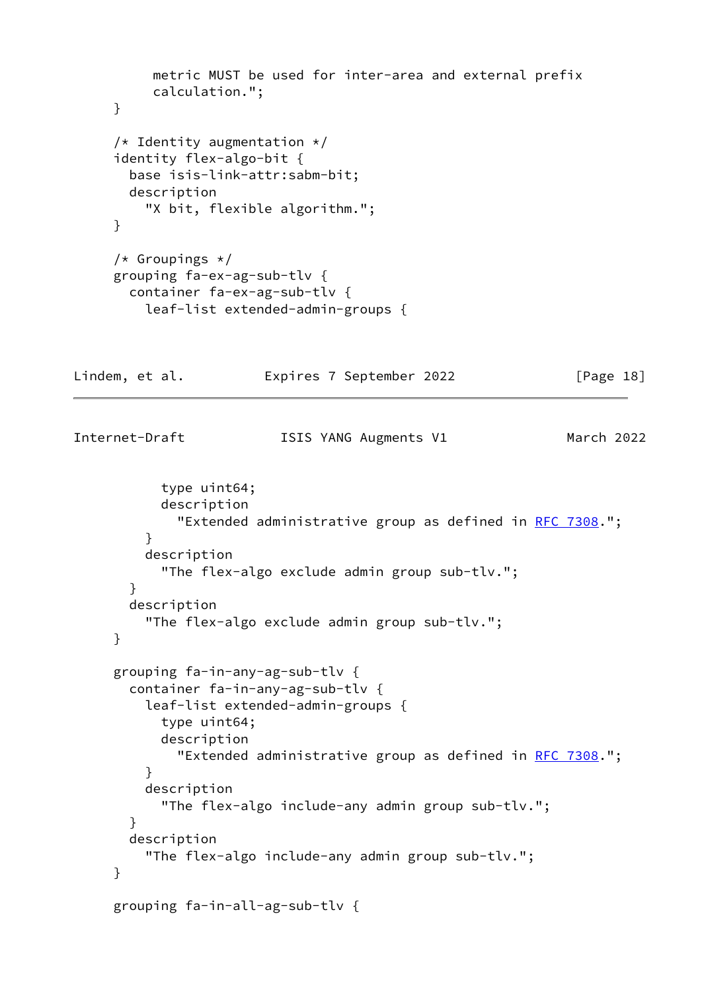```
 metric MUST be used for inter-area and external prefix
          calculation.";
     }
    /* Identity augmentation */ identity flex-algo-bit {
       base isis-link-attr:sabm-bit;
       description
         "X bit, flexible algorithm.";
     }
    /* Groupings */ grouping fa-ex-ag-sub-tlv {
       container fa-ex-ag-sub-tlv {
         leaf-list extended-admin-groups {
Lindem, et al. Expires 7 September 2022 [Page 18]
Internet-Draft ISIS YANG Augments V1 March 2022
          type uint64;
          description
           RFC 7308.";
 }
         description
           "The flex-algo exclude admin group sub-tlv.";
       }
       description
         "The flex-algo exclude admin group sub-tlv.";
     }
     grouping fa-in-any-ag-sub-tlv {
       container fa-in-any-ag-sub-tlv {
         leaf-list extended-admin-groups {
          type uint64;
          description
           RFC 7308.";
         }
         description
           "The flex-algo include-any admin group sub-tlv.";
       }
       description
         "The flex-algo include-any admin group sub-tlv.";
     }
     grouping fa-in-all-ag-sub-tlv {
```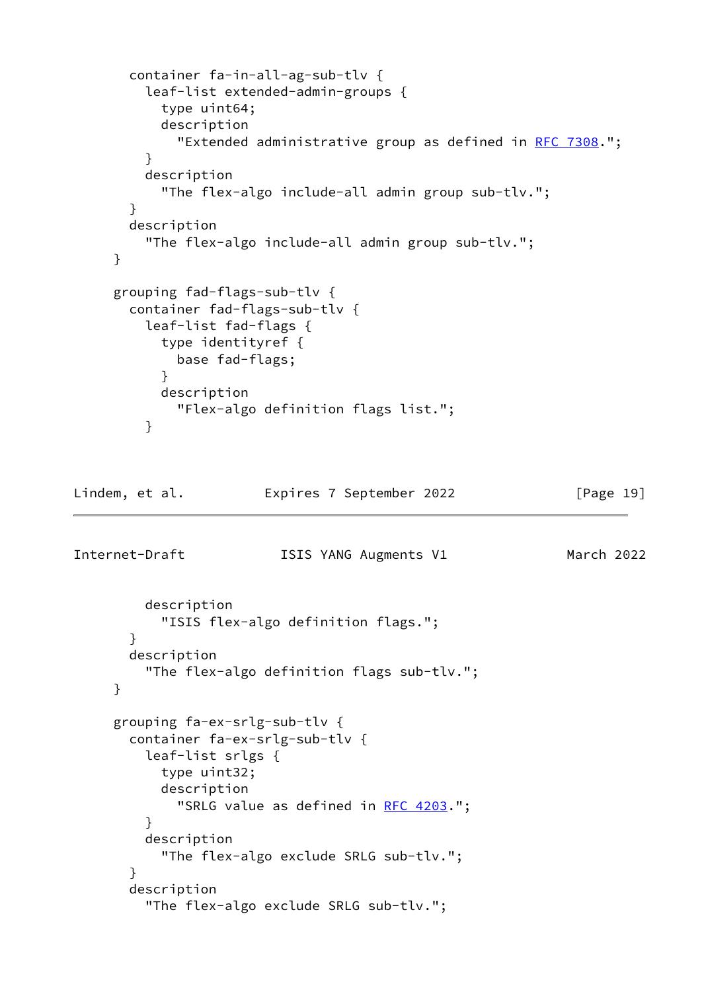```
 container fa-in-all-ag-sub-tlv {
         leaf-list extended-admin-groups {
           type uint64;
           description
            RFC 7308.";
         }
         description
           "The flex-algo include-all admin group sub-tlv.";
       }
       description
         "The flex-algo include-all admin group sub-tlv.";
     }
     grouping fad-flags-sub-tlv {
       container fad-flags-sub-tlv {
         leaf-list fad-flags {
           type identityref {
             base fad-flags;
 }
           description
             "Flex-algo definition flags list.";
         }
Lindem, et al. Expires 7 September 2022 [Page 19]
Internet-Draft ISIS YANG Augments V1 March 2022
         description
           "ISIS flex-algo definition flags.";
       }
       description
         "The flex-algo definition flags sub-tlv.";
     }
     grouping fa-ex-srlg-sub-tlv {
       container fa-ex-srlg-sub-tlv {
         leaf-list srlgs {
           type uint32;
           description
            RFC 4203.";
         }
         description
           "The flex-algo exclude SRLG sub-tlv.";
       }
       description
         "The flex-algo exclude SRLG sub-tlv.";
```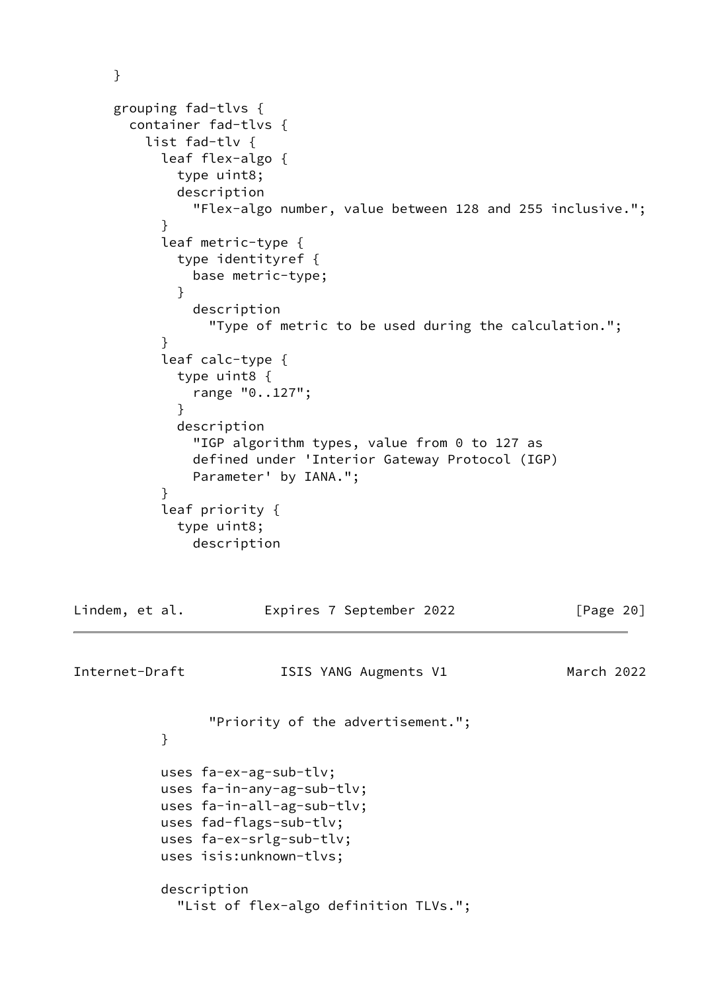```
 }
     grouping fad-tlvs {
       container fad-tlvs {
         list fad-tlv {
           leaf flex-algo {
             type uint8;
             description
               "Flex-algo number, value between 128 and 255 inclusive.";
 }
           leaf metric-type {
             type identityref {
               base metric-type;
 }
               description
                 "Type of metric to be used during the calculation.";
 }
           leaf calc-type {
             type uint8 {
               range "0..127";
 }
             description
               "IGP algorithm types, value from 0 to 127 as
               defined under 'Interior Gateway Protocol (IGP)
               Parameter' by IANA.";
 }
           leaf priority {
             type uint8;
               description
Lindem, et al. Expires 7 September 2022 [Page 20]
Internet-Draft ISIS YANG Augments V1 March 2022
                 "Priority of the advertisement.";
 }
           uses fa-ex-ag-sub-tlv;
           uses fa-in-any-ag-sub-tlv;
           uses fa-in-all-ag-sub-tlv;
           uses fad-flags-sub-tlv;
           uses fa-ex-srlg-sub-tlv;
           uses isis:unknown-tlvs;
           description
             "List of flex-algo definition TLVs.";
```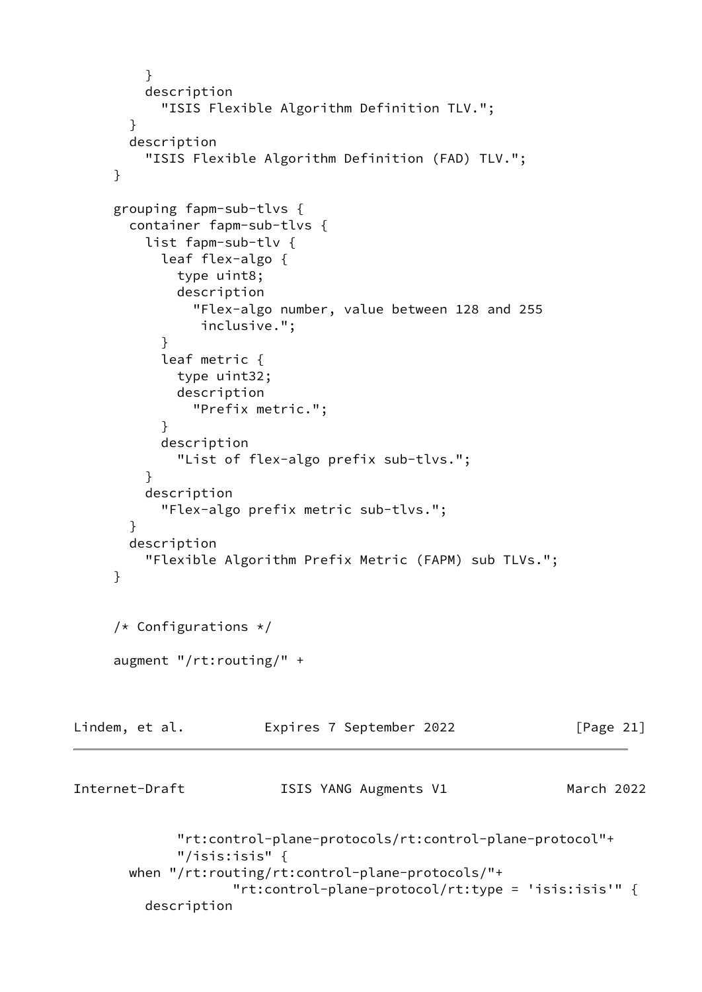```
 }
          description
            "ISIS Flexible Algorithm Definition TLV.";
        }
        description
          "ISIS Flexible Algorithm Definition (FAD) TLV.";
      }
      grouping fapm-sub-tlvs {
        container fapm-sub-tlvs {
          list fapm-sub-tlv {
            leaf flex-algo {
              type uint8;
              description
                "Flex-algo number, value between 128 and 255
                 inclusive.";
 }
            leaf metric {
              type uint32;
              description
                "Prefix metric.";
 }
            description
              "List of flex-algo prefix sub-tlvs.";
          }
          description
            "Flex-algo prefix metric sub-tlvs.";
        }
        description
          "Flexible Algorithm Prefix Metric (FAPM) sub TLVs.";
      }
      /* Configurations */
      augment "/rt:routing/" +
Lindem, et al.             Expires 7 September 2022               [Page 21]
Internet-Draft ISIS YANG Augments V1 March 2022
              "rt:control-plane-protocols/rt:control-plane-protocol"+
              "/isis:isis" {
        when "/rt:routing/rt:control-plane-protocols/"+
                     "rt:control-plane-protocol/rt:type = 'isis:isis'" {
          description
```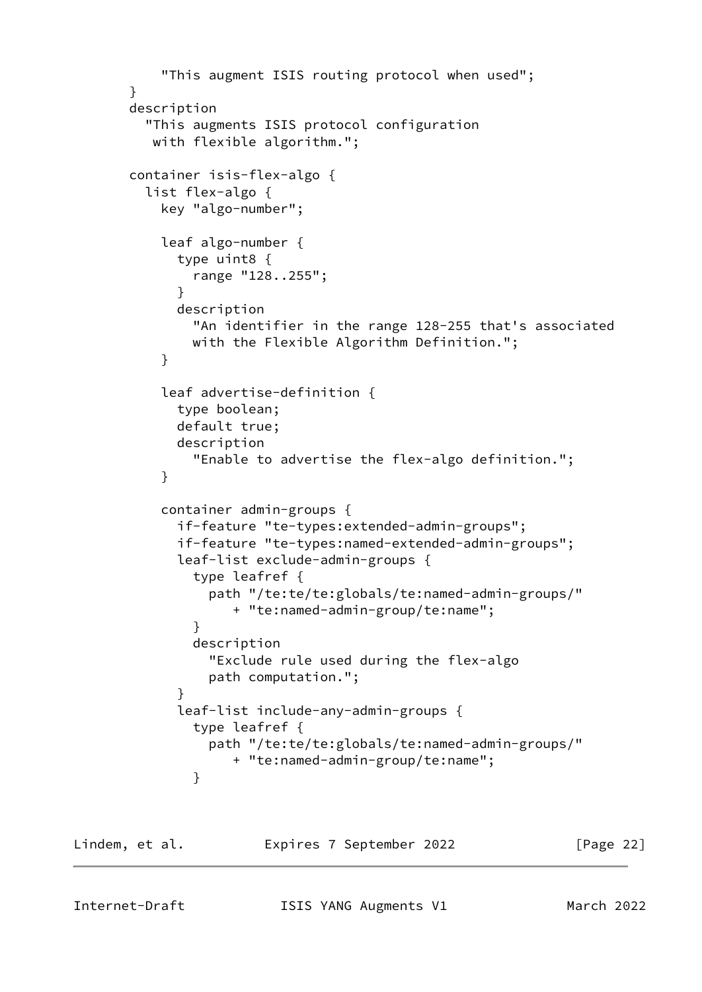```
 "This augment ISIS routing protocol when used";
       }
       description
         "This augments ISIS protocol configuration
          with flexible algorithm.";
       container isis-flex-algo {
         list flex-algo {
           key "algo-number";
           leaf algo-number {
             type uint8 {
               range "128..255";
 }
             description
               "An identifier in the range 128-255 that's associated
               with the Flexible Algorithm Definition.";
 }
           leaf advertise-definition {
             type boolean;
             default true;
             description
               "Enable to advertise the flex-algo definition.";
 }
           container admin-groups {
             if-feature "te-types:extended-admin-groups";
             if-feature "te-types:named-extended-admin-groups";
             leaf-list exclude-admin-groups {
               type leafref {
                 path "/te:te/te:globals/te:named-admin-groups/"
                    + "te:named-admin-group/te:name";
 }
               description
                 "Exclude rule used during the flex-algo
                 path computation.";
 }
             leaf-list include-any-admin-groups {
               type leafref {
                 path "/te:te/te:globals/te:named-admin-groups/"
                    + "te:named-admin-group/te:name";
 }
```
Lindem, et al. Expires 7 September 2022 [Page 22]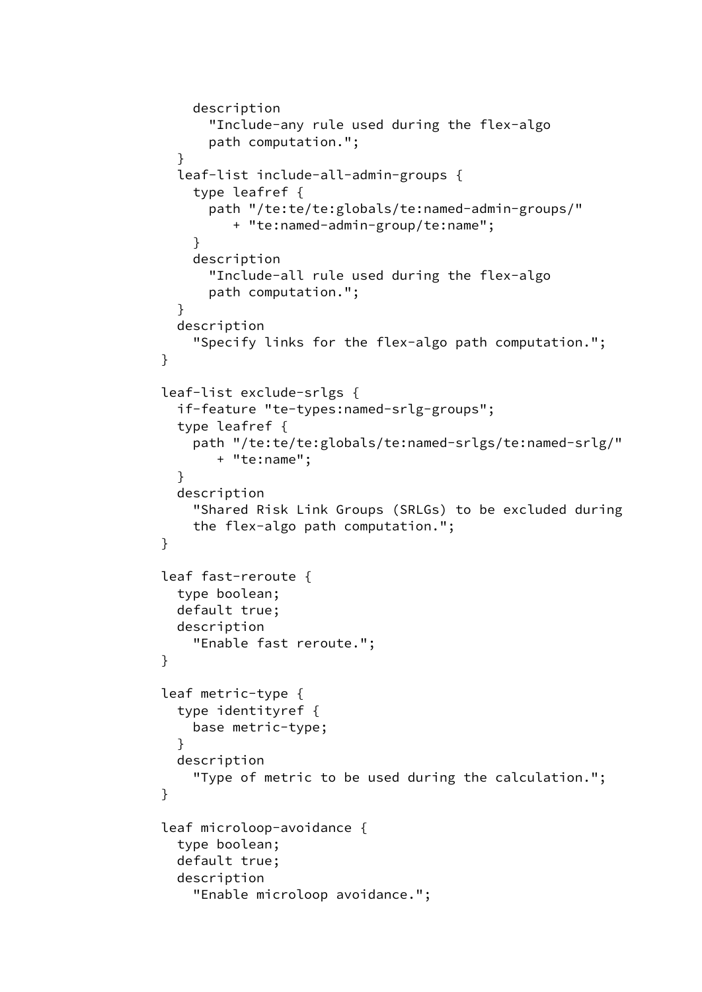```
 description
                 "Include-any rule used during the flex-algo
                 path computation.";
 }
             leaf-list include-all-admin-groups {
               type leafref {
                 path "/te:te/te:globals/te:named-admin-groups/"
                    + "te:named-admin-group/te:name";
 }
               description
                 "Include-all rule used during the flex-algo
                 path computation.";
 }
             description
               "Specify links for the flex-algo path computation.";
 }
           leaf-list exclude-srlgs {
             if-feature "te-types:named-srlg-groups";
             type leafref {
               path "/te:te/te:globals/te:named-srlgs/te:named-srlg/"
                  + "te:name";
 }
             description
               "Shared Risk Link Groups (SRLGs) to be excluded during
               the flex-algo path computation.";
 }
           leaf fast-reroute {
             type boolean;
             default true;
             description
               "Enable fast reroute.";
 }
           leaf metric-type {
             type identityref {
               base metric-type;
 }
             description
               "Type of metric to be used during the calculation.";
 }
           leaf microloop-avoidance {
             type boolean;
             default true;
             description
               "Enable microloop avoidance.";
```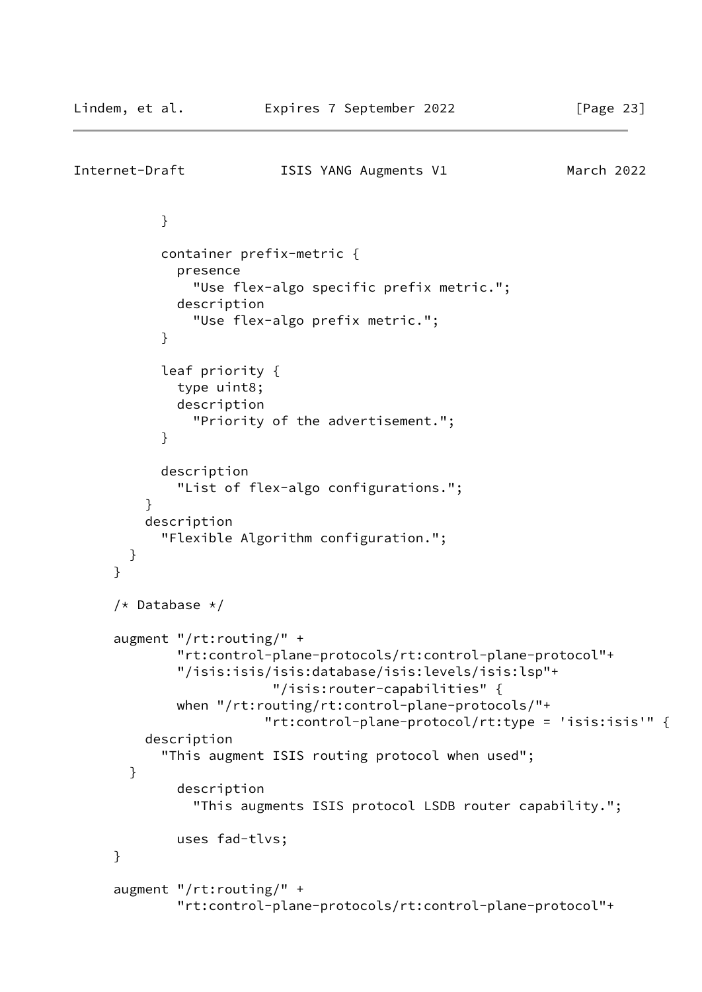```
Internet-Draft ISIS YANG Augments V1 March 2022
 }
            container prefix-metric {
             presence
                "Use flex-algo specific prefix metric.";
             description
                "Use flex-algo prefix metric.";
 }
           leaf priority {
             type uint8;
             description
               "Priority of the advertisement.";
 }
           description
              "List of flex-algo configurations.";
         }
         description
            "Flexible Algorithm configuration.";
       }
      }
      /* Database */
      augment "/rt:routing/" +
              "rt:control-plane-protocols/rt:control-plane-protocol"+
              "/isis:isis/isis:database/isis:levels/isis:lsp"+
                         "/isis:router-capabilities" {
             when "/rt:routing/rt:control-plane-protocols/"+
                        "rt:control-plane-protocol/rt:type = 'isis:isis'" {
         description
            "This augment ISIS routing protocol when used";
       }
             description
                "This augments ISIS protocol LSDB router capability.";
             uses fad-tlvs;
     }
     augment "/rt:routing/" +
              "rt:control-plane-protocols/rt:control-plane-protocol"+
```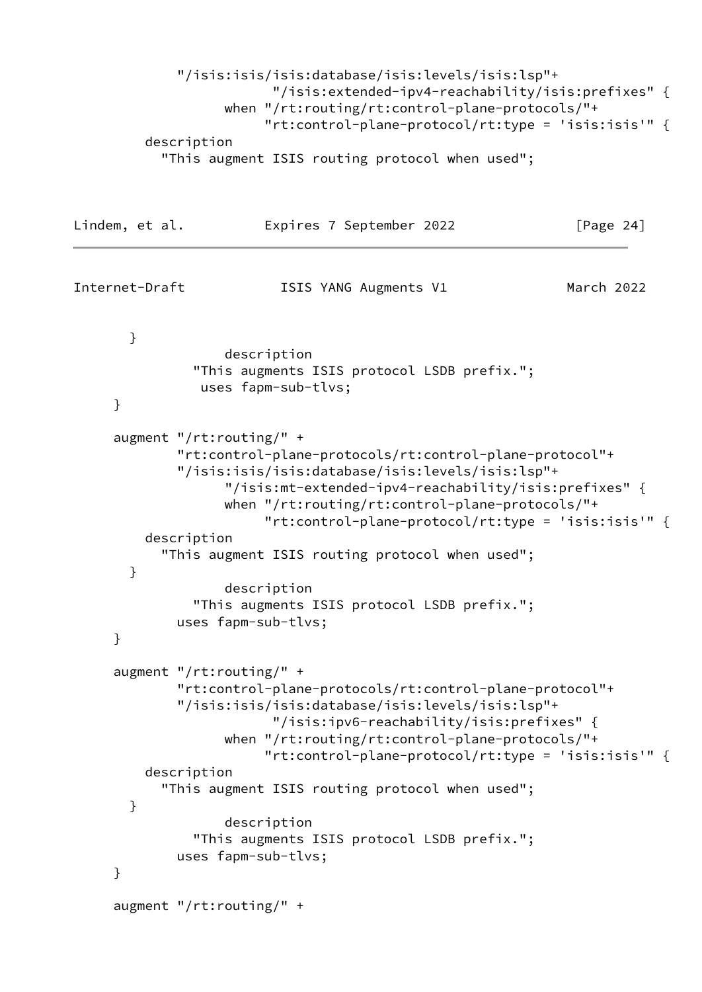```
 "/isis:isis/isis:database/isis:levels/isis:lsp"+
                          "/isis:extended-ipv4-reachability/isis:prefixes" {
                    when "/rt:routing/rt:control-plane-protocols/"+
                         "rt:control-plane-protocol/rt:type = 'isis:isis'" {
          description
            "This augment ISIS routing protocol when used";
Lindem, et al. Expires 7 September 2022 [Page 24]
Internet-Draft ISIS YANG Augments V1 March 2022
       }
                    description
                "This augments ISIS protocol LSDB prefix.";
                 uses fapm-sub-tlvs;
      }
     augment "/rt:routing/" +
              "rt:control-plane-protocols/rt:control-plane-protocol"+
              "/isis:isis/isis:database/isis:levels/isis:lsp"+
                    "/isis:mt-extended-ipv4-reachability/isis:prefixes" {
                    when "/rt:routing/rt:control-plane-protocols/"+
                         "rt:control-plane-protocol/rt:type = 'isis:isis'" {
          description
            "This augment ISIS routing protocol when used";
       }
                    description
                "This augments ISIS protocol LSDB prefix.";
              uses fapm-sub-tlvs;
      }
      augment "/rt:routing/" +
              "rt:control-plane-protocols/rt:control-plane-protocol"+
              "/isis:isis/isis:database/isis:levels/isis:lsp"+
                          "/isis:ipv6-reachability/isis:prefixes" {
                    when "/rt:routing/rt:control-plane-protocols/"+
                         "rt:control-plane-protocol/rt:type = 'isis:isis'" {
          description
            "This augment ISIS routing protocol when used";
       }
                    description
                "This augments ISIS protocol LSDB prefix.";
              uses fapm-sub-tlvs;
     }
      augment "/rt:routing/" +
```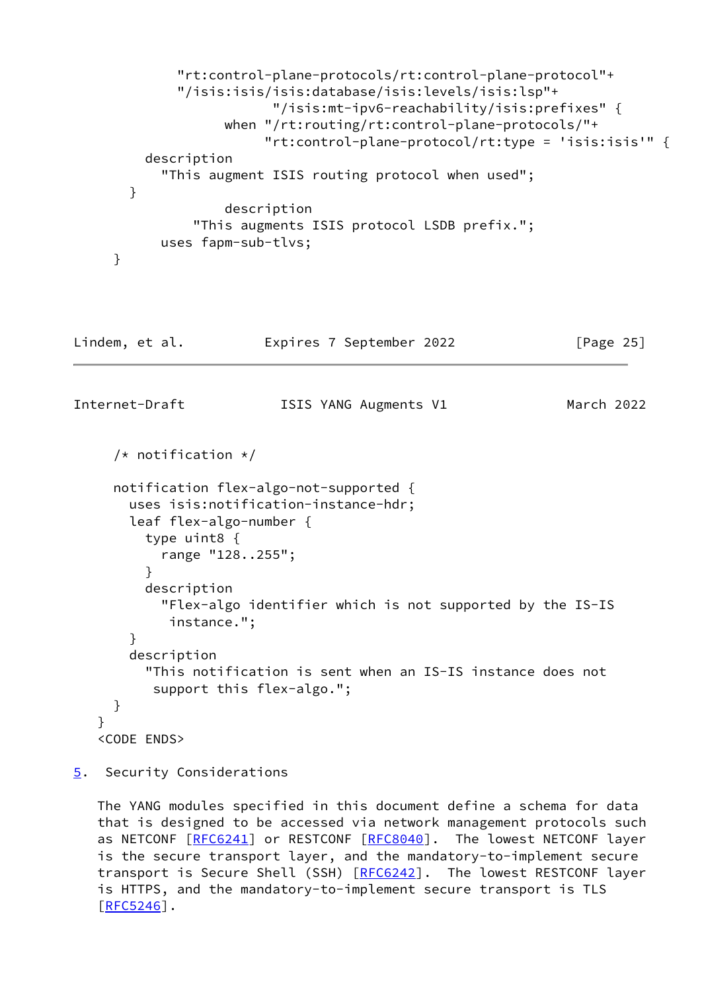```
 "rt:control-plane-protocols/rt:control-plane-protocol"+
              "/isis:isis/isis:database/isis:levels/isis:lsp"+
                          "/isis:mt-ipv6-reachability/isis:prefixes" {
                    when "/rt:routing/rt:control-plane-protocols/"+
                         "rt:control-plane-protocol/rt:type = 'isis:isis'" {
          description
            "This augment ISIS routing protocol when used";
        }
                    description
                "This augments ISIS protocol LSDB prefix.";
            uses fapm-sub-tlvs;
     }
Lindem, et al.               Expires 7 September 2022               [Page 25]
Internet-Draft ISIS YANG Augments V1 March 2022
      /* notification */
     notification flex-algo-not-supported {
        uses isis:notification-instance-hdr;
        leaf flex-algo-number {
          type uint8 {
            range "128..255";
 }
          description
            "Flex-algo identifier which is not supported by the IS-IS
             instance.";
        }
        description
          "This notification is sent when an IS-IS instance does not
           support this flex-algo.";
     }
    }
```

```
 <CODE ENDS>
```
<span id="page-28-0"></span>[5](#page-28-0). Security Considerations

 The YANG modules specified in this document define a schema for data that is designed to be accessed via network management protocols such as NETCONF [[RFC6241\]](https://datatracker.ietf.org/doc/pdf/rfc6241) or RESTCONF [\[RFC8040](https://datatracker.ietf.org/doc/pdf/rfc8040)]. The lowest NETCONF layer is the secure transport layer, and the mandatory-to-implement secure transport is Secure Shell (SSH) [\[RFC6242](https://datatracker.ietf.org/doc/pdf/rfc6242)]. The lowest RESTCONF layer is HTTPS, and the mandatory-to-implement secure transport is TLS  $[REC5246]$ .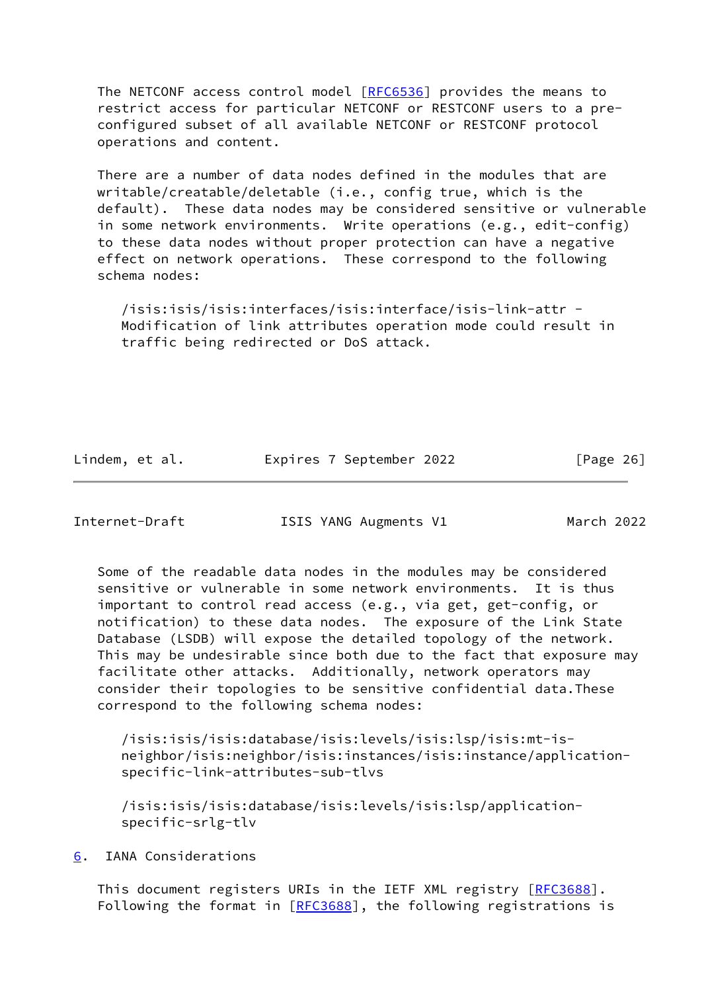The NETCONF access control model [\[RFC6536](https://datatracker.ietf.org/doc/pdf/rfc6536)] provides the means to restrict access for particular NETCONF or RESTCONF users to a pre configured subset of all available NETCONF or RESTCONF protocol operations and content.

 There are a number of data nodes defined in the modules that are writable/creatable/deletable (i.e., config true, which is the default). These data nodes may be considered sensitive or vulnerable in some network environments. Write operations (e.g., edit-config) to these data nodes without proper protection can have a negative effect on network operations. These correspond to the following schema nodes:

 /isis:isis/isis:interfaces/isis:interface/isis-link-attr - Modification of link attributes operation mode could result in traffic being redirected or DoS attack.

Lindem, et al. Expires 7 September 2022 [Page 26]

<span id="page-29-1"></span>Internet-Draft ISIS YANG Augments V1 March 2022

 Some of the readable data nodes in the modules may be considered sensitive or vulnerable in some network environments. It is thus important to control read access (e.g., via get, get-config, or notification) to these data nodes. The exposure of the Link State Database (LSDB) will expose the detailed topology of the network. This may be undesirable since both due to the fact that exposure may facilitate other attacks. Additionally, network operators may consider their topologies to be sensitive confidential data.These correspond to the following schema nodes:

 /isis:isis/isis:database/isis:levels/isis:lsp/isis:mt-is neighbor/isis:neighbor/isis:instances/isis:instance/application specific-link-attributes-sub-tlvs

 /isis:isis/isis:database/isis:levels/isis:lsp/application specific-srlg-tlv

<span id="page-29-0"></span>[6](#page-29-0). IANA Considerations

This document registers URIs in the IETF XML registry [[RFC3688](https://datatracker.ietf.org/doc/pdf/rfc3688)]. Following the format in [\[RFC3688](https://datatracker.ietf.org/doc/pdf/rfc3688)], the following registrations is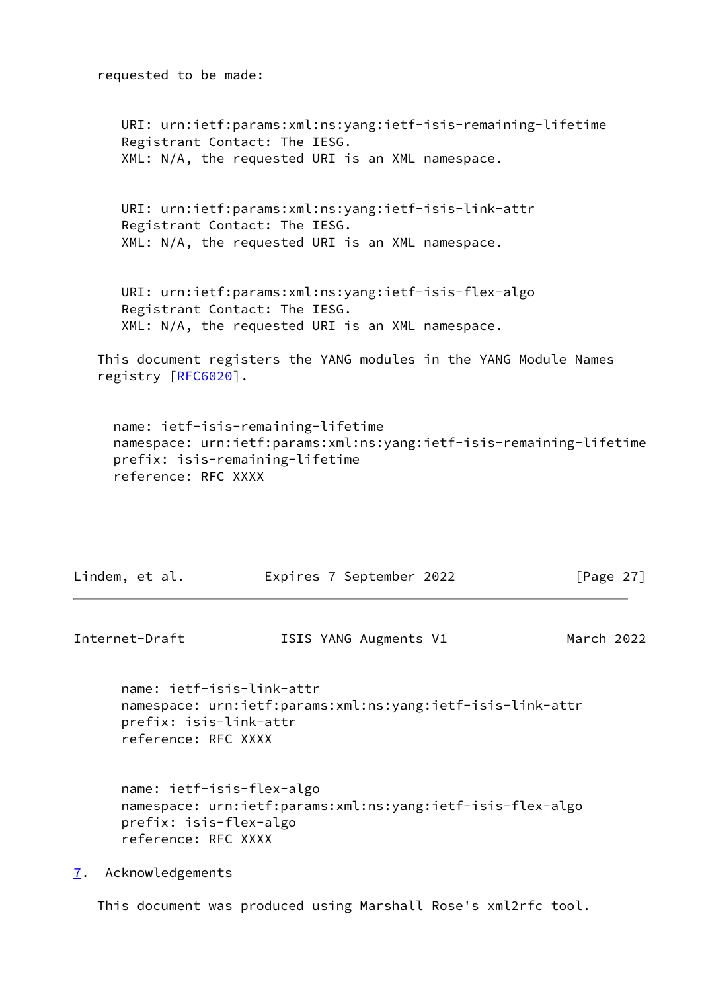requested to be made:

 URI: urn:ietf:params:xml:ns:yang:ietf-isis-remaining-lifetime Registrant Contact: The IESG. XML: N/A, the requested URI is an XML namespace. URI: urn:ietf:params:xml:ns:yang:ietf-isis-link-attr Registrant Contact: The IESG. XML: N/A, the requested URI is an XML namespace. URI: urn:ietf:params:xml:ns:yang:ietf-isis-flex-algo Registrant Contact: The IESG. XML: N/A, the requested URI is an XML namespace. This document registers the YANG modules in the YANG Module Names registry [\[RFC6020](https://datatracker.ietf.org/doc/pdf/rfc6020)]. name: ietf-isis-remaining-lifetime namespace: urn:ietf:params:xml:ns:yang:ietf-isis-remaining-lifetime

 prefix: isis-remaining-lifetime reference: RFC XXXX

<span id="page-30-1"></span>

| Lindem, et al.                                                             | Expires 7 September 2022                                   | [Page $27$ ] |
|----------------------------------------------------------------------------|------------------------------------------------------------|--------------|
| Internet-Draft                                                             | ISIS YANG Augments V1                                      | March 2022   |
| name: ietf-isis-link-attr<br>prefix: isis-link-attr<br>reference: RFC XXXX | namespace: urn:ietf:params:xml:ns:yang:ietf-isis-link-attr |              |
| name: ietf-isis-flex-algo<br>prefix: isis-flex-algo<br>reference: RFC XXXX | namespace: urn:ietf:params:xml:ns:yang:ietf-isis-flex-algo |              |
| Acknowledgements<br>7.                                                     |                                                            |              |

<span id="page-30-0"></span>This document was produced using Marshall Rose's xml2rfc tool.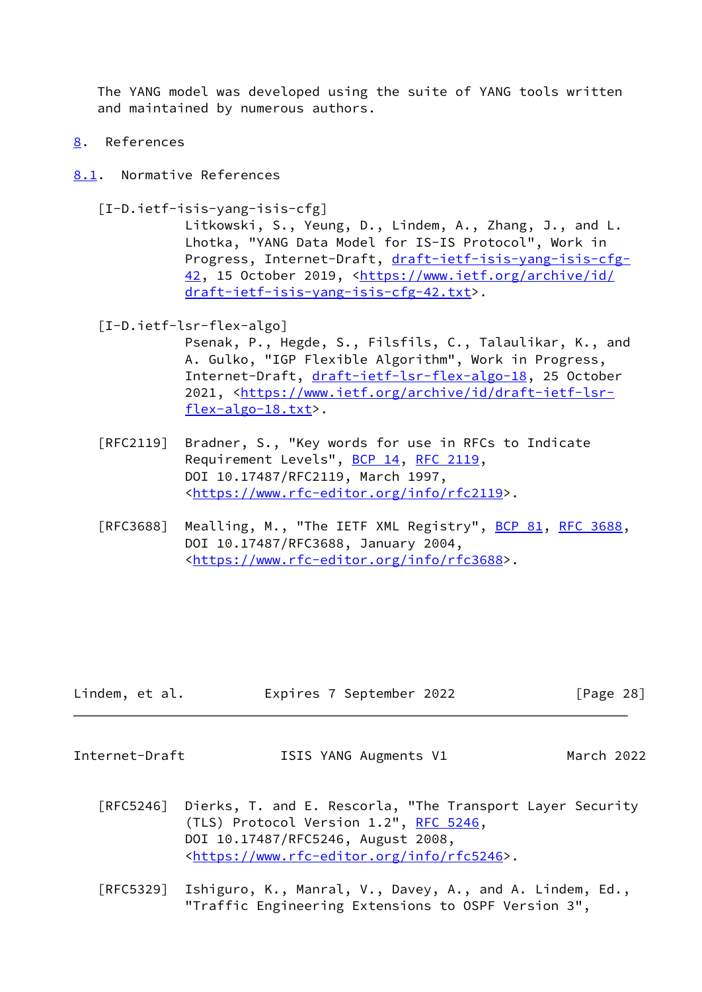The YANG model was developed using the suite of YANG tools written and maintained by numerous authors.

- <span id="page-31-0"></span>[8](#page-31-0). References
- <span id="page-31-1"></span>[8.1](#page-31-1). Normative References

<span id="page-31-2"></span>[I-D.ietf-isis-yang-isis-cfg]

 Litkowski, S., Yeung, D., Lindem, A., Zhang, J., and L. Lhotka, "YANG Data Model for IS-IS Protocol", Work in Progress, Internet-Draft, [draft-ietf-isis-yang-isis-cfg-](https://datatracker.ietf.org/doc/pdf/draft-ietf-isis-yang-isis-cfg-42) [42,](https://datatracker.ietf.org/doc/pdf/draft-ietf-isis-yang-isis-cfg-42) 15 October 2019, [<https://www.ietf.org/archive/id/](https://www.ietf.org/archive/id/draft-ietf-isis-yang-isis-cfg-42.txt) [draft-ietf-isis-yang-isis-cfg-42.txt>](https://www.ietf.org/archive/id/draft-ietf-isis-yang-isis-cfg-42.txt).

<span id="page-31-3"></span>[I-D.ietf-lsr-flex-algo]

 Psenak, P., Hegde, S., Filsfils, C., Talaulikar, K., and A. Gulko, "IGP Flexible Algorithm", Work in Progress, Internet-Draft, [draft-ietf-lsr-flex-algo-18](https://datatracker.ietf.org/doc/pdf/draft-ietf-lsr-flex-algo-18), 25 October 2021, [<https://www.ietf.org/archive/id/draft-ietf-lsr](https://www.ietf.org/archive/id/draft-ietf-lsr-flex-algo-18.txt) [flex-algo-18.txt>](https://www.ietf.org/archive/id/draft-ietf-lsr-flex-algo-18.txt).

- [RFC2119] Bradner, S., "Key words for use in RFCs to Indicate Requirement Levels", [BCP 14](https://datatracker.ietf.org/doc/pdf/bcp14), [RFC 2119](https://datatracker.ietf.org/doc/pdf/rfc2119), DOI 10.17487/RFC2119, March 1997, <[https://www.rfc-editor.org/info/rfc2119>](https://www.rfc-editor.org/info/rfc2119).
- [RFC3688] Mealling, M., "The IETF XML Registry", [BCP 81](https://datatracker.ietf.org/doc/pdf/bcp81), [RFC 3688](https://datatracker.ietf.org/doc/pdf/rfc3688), DOI 10.17487/RFC3688, January 2004, <[https://www.rfc-editor.org/info/rfc3688>](https://www.rfc-editor.org/info/rfc3688).

| Lindem, et al. | Expires 7 September 2022 | [Page 28] |
|----------------|--------------------------|-----------|
|----------------|--------------------------|-----------|

Internet-Draft ISIS YANG Augments V1 March 2022

- [RFC5246] Dierks, T. and E. Rescorla, "The Transport Layer Security (TLS) Protocol Version 1.2", [RFC 5246](https://datatracker.ietf.org/doc/pdf/rfc5246), DOI 10.17487/RFC5246, August 2008, <[https://www.rfc-editor.org/info/rfc5246>](https://www.rfc-editor.org/info/rfc5246).
- [RFC5329] Ishiguro, K., Manral, V., Davey, A., and A. Lindem, Ed., "Traffic Engineering Extensions to OSPF Version 3",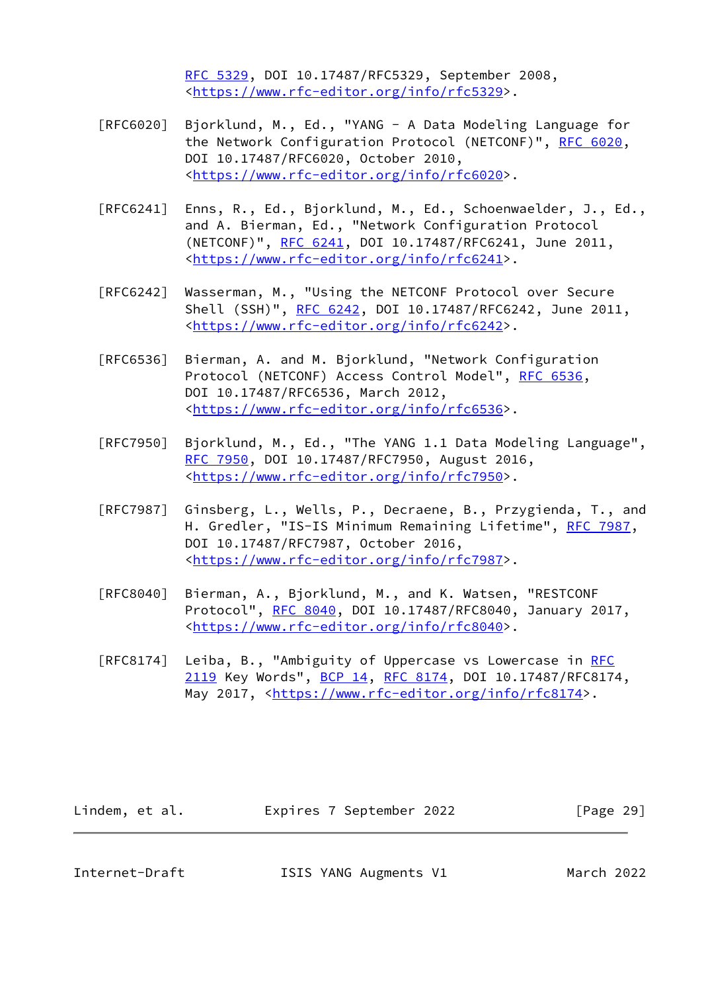[RFC 5329,](https://datatracker.ietf.org/doc/pdf/rfc5329) DOI 10.17487/RFC5329, September 2008, <[https://www.rfc-editor.org/info/rfc5329>](https://www.rfc-editor.org/info/rfc5329).

- [RFC6020] Bjorklund, M., Ed., "YANG A Data Modeling Language for the Network Configuration Protocol (NETCONF)", [RFC 6020](https://datatracker.ietf.org/doc/pdf/rfc6020), DOI 10.17487/RFC6020, October 2010, <[https://www.rfc-editor.org/info/rfc6020>](https://www.rfc-editor.org/info/rfc6020).
- [RFC6241] Enns, R., Ed., Bjorklund, M., Ed., Schoenwaelder, J., Ed., and A. Bierman, Ed., "Network Configuration Protocol (NETCONF)", [RFC 6241,](https://datatracker.ietf.org/doc/pdf/rfc6241) DOI 10.17487/RFC6241, June 2011, <[https://www.rfc-editor.org/info/rfc6241>](https://www.rfc-editor.org/info/rfc6241).
- [RFC6242] Wasserman, M., "Using the NETCONF Protocol over Secure Shell (SSH)", [RFC 6242](https://datatracker.ietf.org/doc/pdf/rfc6242), DOI 10.17487/RFC6242, June 2011, <[https://www.rfc-editor.org/info/rfc6242>](https://www.rfc-editor.org/info/rfc6242).
- [RFC6536] Bierman, A. and M. Bjorklund, "Network Configuration Protocol (NETCONF) Access Control Model", [RFC 6536](https://datatracker.ietf.org/doc/pdf/rfc6536), DOI 10.17487/RFC6536, March 2012, <[https://www.rfc-editor.org/info/rfc6536>](https://www.rfc-editor.org/info/rfc6536).
- [RFC7950] Bjorklund, M., Ed., "The YANG 1.1 Data Modeling Language", [RFC 7950,](https://datatracker.ietf.org/doc/pdf/rfc7950) DOI 10.17487/RFC7950, August 2016, <[https://www.rfc-editor.org/info/rfc7950>](https://www.rfc-editor.org/info/rfc7950).
- [RFC7987] Ginsberg, L., Wells, P., Decraene, B., Przygienda, T., and H. Gredler, "IS-IS Minimum Remaining Lifetime", [RFC 7987,](https://datatracker.ietf.org/doc/pdf/rfc7987) DOI 10.17487/RFC7987, October 2016, <[https://www.rfc-editor.org/info/rfc7987>](https://www.rfc-editor.org/info/rfc7987).
- [RFC8040] Bierman, A., Bjorklund, M., and K. Watsen, "RESTCONF Protocol", [RFC 8040](https://datatracker.ietf.org/doc/pdf/rfc8040), DOI 10.17487/RFC8040, January 2017, <[https://www.rfc-editor.org/info/rfc8040>](https://www.rfc-editor.org/info/rfc8040).
- [RFC8174] Leiba, B., "Ambiguity of Uppercase vs Lowercase in [RFC](https://datatracker.ietf.org/doc/pdf/rfc2119) [2119](https://datatracker.ietf.org/doc/pdf/rfc2119) Key Words", [BCP 14](https://datatracker.ietf.org/doc/pdf/bcp14), [RFC 8174,](https://datatracker.ietf.org/doc/pdf/rfc8174) DOI 10.17487/RFC8174, May 2017, [<https://www.rfc-editor.org/info/rfc8174](https://www.rfc-editor.org/info/rfc8174)>.

| Lindem, et al. | Expires 7 September 2022 | [Page 29] |
|----------------|--------------------------|-----------|
|----------------|--------------------------|-----------|

<span id="page-32-0"></span>Internet-Draft ISIS YANG Augments V1 March 2022